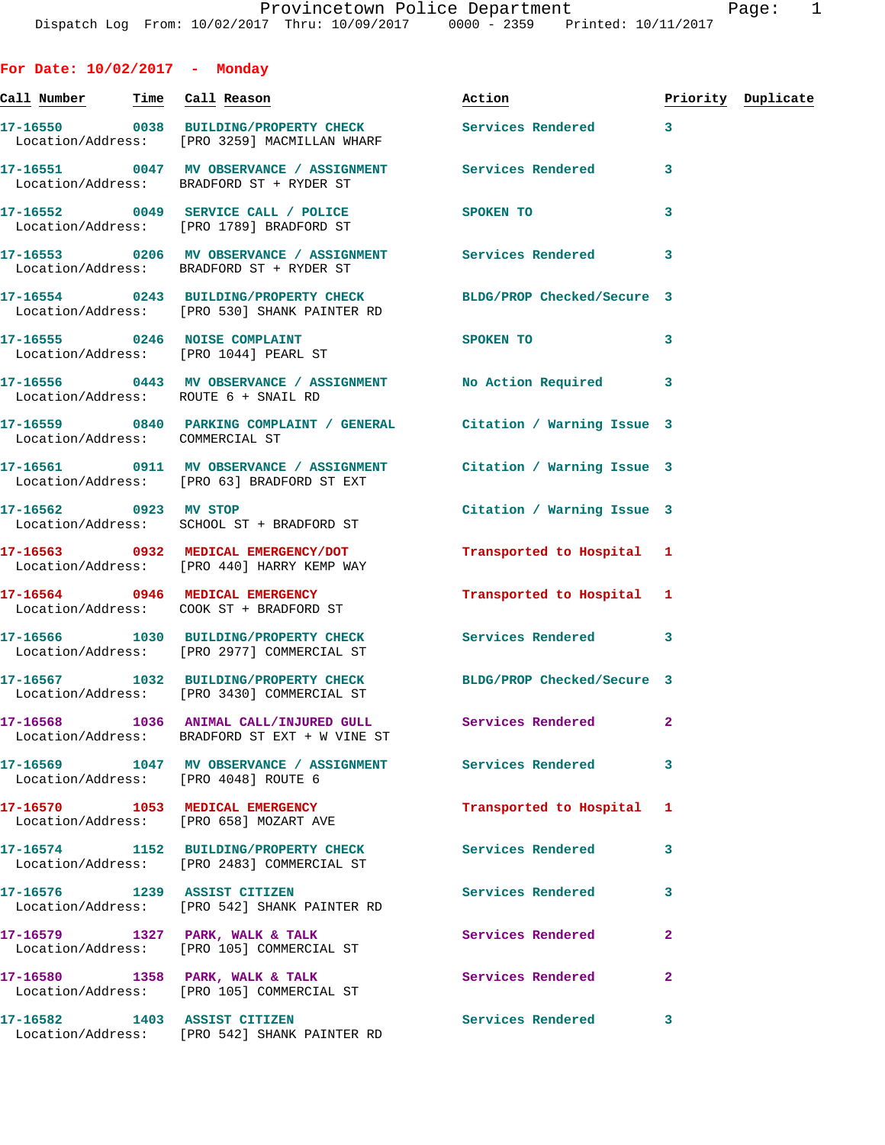**For Date: 10/02/2017 - Monday Call Number Time Call Reason Action Priority Duplicate 17-16550 0038 BUILDING/PROPERTY CHECK Services Rendered 3**  Location/Address: [PRO 3259] MACMILLAN WHARF **17-16551 0047 MV OBSERVANCE / ASSIGNMENT Services Rendered 3**  Location/Address: BRADFORD ST + RYDER ST **17-16552 0049 SERVICE CALL / POLICE SPOKEN TO 3**  Location/Address: [PRO 1789] BRADFORD ST **17-16553 0206 MV OBSERVANCE / ASSIGNMENT Services Rendered 3**  Location/Address: BRADFORD ST + RYDER ST **17-16554 0243 BUILDING/PROPERTY CHECK BLDG/PROP Checked/Secure 3**  Location/Address: [PRO 530] SHANK PAINTER RD **17-16555 0246 NOISE COMPLAINT SPOKEN TO 3**  Location/Address: [PRO 1044] PEARL ST **17-16556 0443 MV OBSERVANCE / ASSIGNMENT No Action Required 3**  Location/Address: ROUTE 6 + SNAIL RD **17-16559 0840 PARKING COMPLAINT / GENERAL Citation / Warning Issue 3**  Location/Address: COMMERCIAL ST **17-16561 0911 MV OBSERVANCE / ASSIGNMENT Citation / Warning Issue 3**  Location/Address: [PRO 63] BRADFORD ST EXT **17-16562 0923 MV STOP Citation / Warning Issue 3**  Location/Address: SCHOOL ST + BRADFORD ST **17-16563 0932 MEDICAL EMERGENCY/DOT Transported to Hospital 1**  Location/Address: [PRO 440] HARRY KEMP WAY **17-16564 0946 MEDICAL EMERGENCY Transported to Hospital 1**  Location/Address: COOK ST + BRADFORD ST **17-16566 1030 BUILDING/PROPERTY CHECK Services Rendered 3**  Location/Address: [PRO 2977] COMMERCIAL ST **17-16567 1032 BUILDING/PROPERTY CHECK BLDG/PROP Checked/Secure 3**  Location/Address: [PRO 3430] COMMERCIAL ST **17-16568 1036 ANIMAL CALL/INJURED GULL Services Rendered 2**  Location/Address: BRADFORD ST EXT + W VINE ST **17-16569 1047 MV OBSERVANCE / ASSIGNMENT Services Rendered 3**  Location/Address: [PRO 4048] ROUTE 6 **17-16570 1053 MEDICAL EMERGENCY Transported to Hospital 1**  Location/Address: [PRO 658] MOZART AVE **17-16574 1152 BUILDING/PROPERTY CHECK Services Rendered 3**  Location/Address: [PRO 2483] COMMERCIAL ST **17-16576 1239 ASSIST CITIZEN Services Rendered 3**  Location/Address: [PRO 542] SHANK PAINTER RD **17-16579 1327 PARK, WALK & TALK Services Rendered 2**  Location/Address: [PRO 105] COMMERCIAL ST 17-16580 **1358 PARK, WALK & TALK** Services Rendered 2 Location/Address: [PRO 105] COMMERCIAL ST

**17-16582 1403 ASSIST CITIZEN Services Rendered 3** 

Location/Address: [PRO 542] SHANK PAINTER RD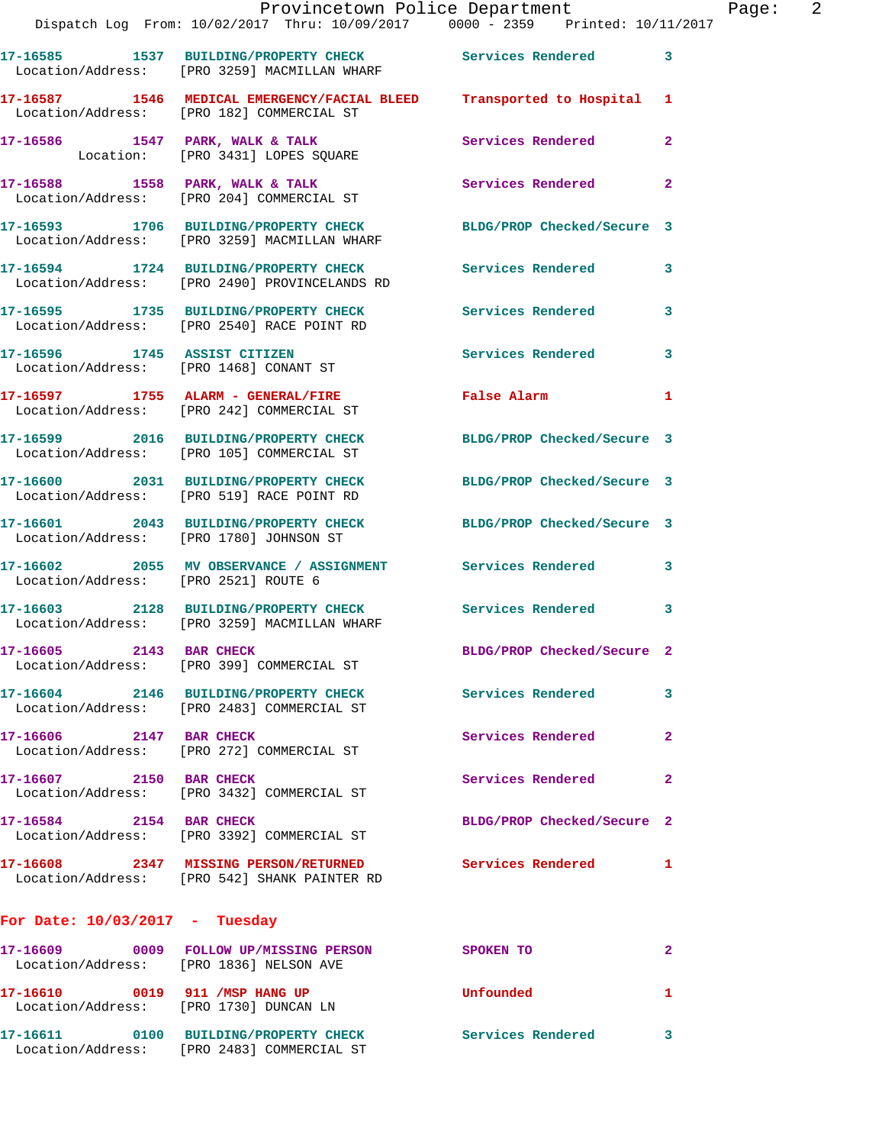|                                      | Dispatch Log From: 10/02/2017 Thru: 10/09/2017 0000 - 2359 Printed: 10/11/2017                                      | Provincetown Police Department |                | Page: 2 |  |
|--------------------------------------|---------------------------------------------------------------------------------------------------------------------|--------------------------------|----------------|---------|--|
|                                      | 17-16585 1537 BUILDING/PROPERTY CHECK Services Rendered 3<br>Location/Address: [PRO 3259] MACMILLAN WHARF           |                                |                |         |  |
|                                      | 17-16587 1546 MEDICAL EMERGENCY/FACIAL BLEED Transported to Hospital 1<br>Location/Address: [PRO 182] COMMERCIAL ST |                                |                |         |  |
|                                      | 17-16586 1547 PARK, WALK & TALK<br>Location: [PRO 3431] LOPES SQUARE                                                | Services Rendered              | $\mathbf{2}$   |         |  |
|                                      | 17-16588 1558 PARK, WALK & TALK 17 Services Rendered Election/Address: [PRO 204] COMMERCIAL ST                      |                                | $\mathbf{2}$   |         |  |
|                                      | 17-16593 1706 BUILDING/PROPERTY CHECK BLDG/PROP Checked/Secure 3<br>Location/Address: [PRO 3259] MACMILLAN WHARF    |                                |                |         |  |
|                                      | 17-16594 1724 BUILDING/PROPERTY CHECK Services Rendered<br>Location/Address: [PRO 2490] PROVINCELANDS RD            |                                | 3              |         |  |
|                                      | 17-16595 1735 BUILDING/PROPERTY CHECK Services Rendered 3<br>Location/Address: [PRO 2540] RACE POINT RD             |                                |                |         |  |
|                                      | 17-16596 1745 ASSIST CITIZEN<br>Location/Address: [PRO 1468] CONANT ST                                              | Services Rendered              | 3              |         |  |
|                                      | 17-16597 1755 ALARM - GENERAL/FIRE<br>Location/Address: [PRO 242] COMMERCIAL ST                                     | False Alarm 1                  |                |         |  |
|                                      | 17-16599 2016 BUILDING/PROPERTY CHECK BLDG/PROP Checked/Secure 3<br>Location/Address: [PRO 105] COMMERCIAL ST       |                                |                |         |  |
|                                      | 17-16600 2031 BUILDING/PROPERTY CHECK BLDG/PROP Checked/Secure 3<br>Location/Address: [PRO 519] RACE POINT RD       |                                |                |         |  |
|                                      | 17-16601 2043 BUILDING/PROPERTY CHECK BLDG/PROP Checked/Secure 3<br>Location/Address: [PRO 1780] JOHNSON ST         |                                |                |         |  |
| Location/Address: [PRO 2521] ROUTE 6 | 17-16602 2055 MV OBSERVANCE / ASSIGNMENT Services Rendered 3                                                        |                                |                |         |  |
|                                      | 17-16603 2128 BUILDING/PROPERTY CHECK Services Rendered 3<br>Location/Address: [PRO 3259] MACMILLAN WHARF           |                                |                |         |  |
|                                      | 17-16605 2143 BAR CHECK<br>Location/Address: [PRO 399] COMMERCIAL ST                                                | BLDG/PROP Checked/Secure 2     |                |         |  |
|                                      | 17-16604 2146 BUILDING/PROPERTY CHECK Services Rendered<br>Location/Address: [PRO 2483] COMMERCIAL ST               |                                | 3              |         |  |
| 17-16606 2147 BAR CHECK              | Location/Address: [PRO 272] COMMERCIAL ST                                                                           | Services Rendered              | $\overline{2}$ |         |  |
| 17-16607 2150 BAR CHECK              | Location/Address: [PRO 3432] COMMERCIAL ST                                                                          | Services Rendered              | $\mathbf{2}$   |         |  |
| 17-16584 2154 BAR CHECK              | Location/Address: [PRO 3392] COMMERCIAL ST                                                                          | BLDG/PROP Checked/Secure 2     |                |         |  |
|                                      | 17-16608 2347 MISSING PERSON/RETURNED Services Rendered<br>Location/Address: [PRO 542] SHANK PAINTER RD             |                                | $\mathbf{1}$   |         |  |
| For Date: $10/03/2017$ - Tuesday     |                                                                                                                     |                                |                |         |  |
|                                      | 17-16609 0009 FOLLOW UP/MISSING PERSON SPOKEN TO<br>Location/Address: [PRO 1836] NELSON AVE                         |                                | 2              |         |  |
|                                      | 17-16610 0019 911 /MSP HANG UP<br>Location/Address: [PRO 1730] DUNCAN LN                                            | Unfounded                      | 1              |         |  |
|                                      | 17-16611 0100 BUILDING/PROPERTY CHECK Services Rendered                                                             |                                | 3              |         |  |

Location/Address: [PRO 2483] COMMERCIAL ST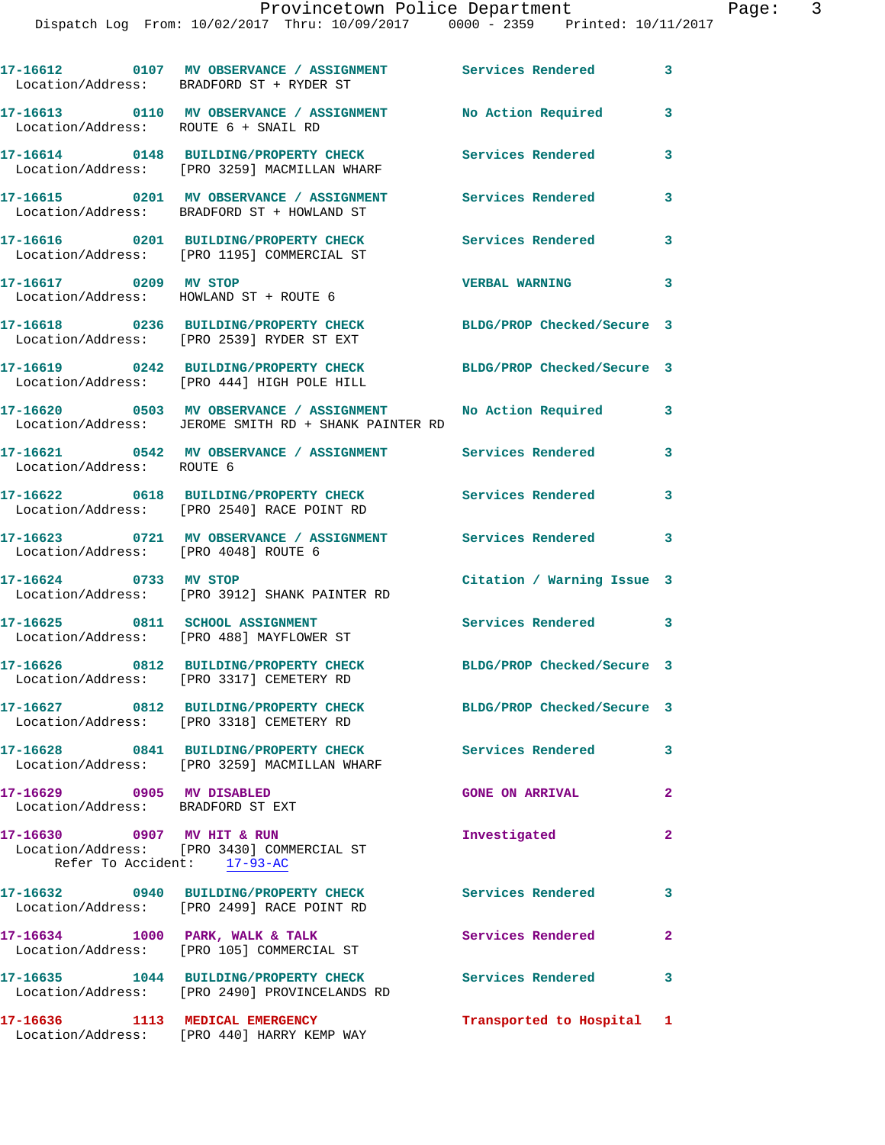**17-16612 0107 MV OBSERVANCE / ASSIGNMENT Services Rendered 3**  Location/Address: BRADFORD ST + RYDER ST **17-16613 0110 MV OBSERVANCE / ASSIGNMENT No Action Required 3**  Location/Address: ROUTE 6 + SNAIL RD **17-16614 0148 BUILDING/PROPERTY CHECK Services Rendered 3**  Location/Address: [PRO 3259] MACMILLAN WHARF **17-16615 0201 MV OBSERVANCE / ASSIGNMENT Services Rendered 3**  Location/Address: BRADFORD ST + HOWLAND ST **17-16616 0201 BUILDING/PROPERTY CHECK Services Rendered 3**  Location/Address: [PRO 1195] COMMERCIAL ST **17-16617 0209 MV STOP VERBAL WARNING 3**  Location/Address: HOWLAND ST + ROUTE 6 **17-16618 0236 BUILDING/PROPERTY CHECK BLDG/PROP Checked/Secure 3**  Location/Address: [PRO 2539] RYDER ST EXT **17-16619 0242 BUILDING/PROPERTY CHECK BLDG/PROP Checked/Secure 3**  Location/Address: [PRO 444] HIGH POLE HILL **17-16620 0503 MV OBSERVANCE / ASSIGNMENT No Action Required 3**  Location/Address: JEROME SMITH RD + SHANK PAINTER RD **17-16621 0542 MV OBSERVANCE / ASSIGNMENT Services Rendered 3**  Location/Address: ROUTE 6 **17-16622 0618 BUILDING/PROPERTY CHECK Services Rendered 3**  Location/Address: [PRO 2540] RACE POINT RD **17-16623 0721 MV OBSERVANCE / ASSIGNMENT Services Rendered 3**  Location/Address: [PRO 4048] ROUTE 6 **17-16624 0733 MV STOP Citation / Warning Issue 3**  Location/Address: [PRO 3912] SHANK PAINTER RD **17-16625 0811 SCHOOL ASSIGNMENT Services Rendered 3**  Location/Address: [PRO 488] MAYFLOWER ST **17-16626 0812 BUILDING/PROPERTY CHECK BLDG/PROP Checked/Secure 3**  Location/Address: [PRO 3317] CEMETERY RD **17-16627 0812 BUILDING/PROPERTY CHECK BLDG/PROP Checked/Secure 3**  Location/Address: [PRO 3318] CEMETERY RD **17-16628 0841 BUILDING/PROPERTY CHECK Services Rendered 3**  Location/Address: [PRO 3259] MACMILLAN WHARF **17-16629 0905 MV DISABLED GONE ON ARRIVAL 2**  Location/Address: BRADFORD ST EXT **17-16630 0907 MV HIT & RUN Investigated 2**  Location/Address: [PRO 3430] COMMERCIAL ST Refer To Accident: 17-93-AC **17-16632 0940 BUILDING/PROPERTY CHECK Services Rendered 3**  Location/Address: [PRO 2499] RACE POINT RD 17-16634 1000 PARK, WALK & TALK **Services Rendered** 2 Location/Address: [PRO 105] COMMERCIAL ST **17-16635 1044 BUILDING/PROPERTY CHECK Services Rendered 3**  Location/Address: [PRO 2490] PROVINCELANDS RD **17-16636 1113 MEDICAL EMERGENCY Transported to Hospital 1** 

Location/Address: [PRO 440] HARRY KEMP WAY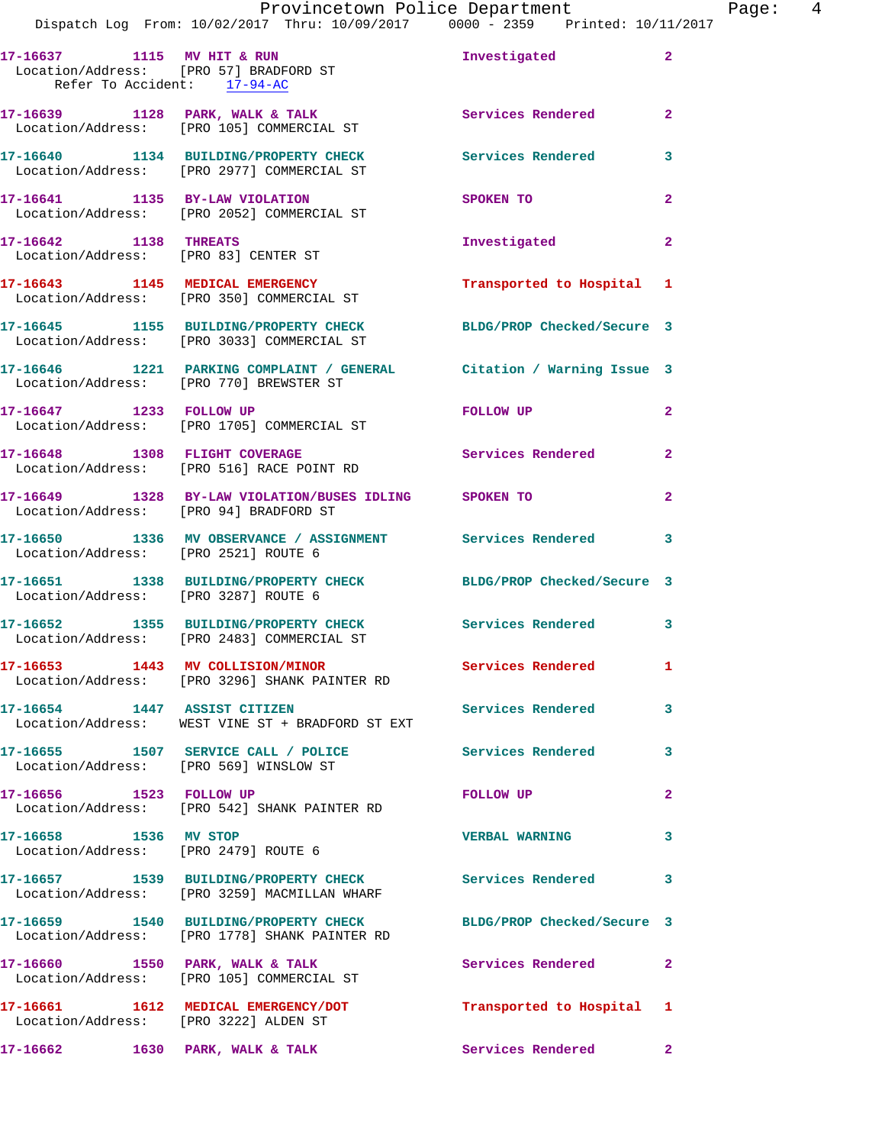Dispatch Log From: 10/02/2017 Thru: 10/09/2017 0000 - 2359 Printed: 10/11/2017 17-16637 1115 MV HIT & RUN **Investigated**  Location/Address: [PRO 57] BRADFORD ST Refer To Accident: 17-94-AC **17-16639 1128 PARK, WALK & TALK Services Rendered 2**  Location/Address: [PRO 105] COMMERCIAL ST **17-16640 1134 BUILDING/PROPERTY CHECK Services Rendered 3**  Location/Address: [PRO 2977] COMMERCIAL ST **17-16641 1135 BY-LAW VIOLATION SPOKEN TO 2**  Location/Address: [PRO 2052] COMMERCIAL ST **17-16642 1138 THREATS Investigated 2**  Location/Address: [PRO 83] CENTER ST **17-16643 1145 MEDICAL EMERGENCY Transported to Hospital 1**  Location/Address: [PRO 350] COMMERCIAL ST **17-16645 1155 BUILDING/PROPERTY CHECK BLDG/PROP Checked/Secure 3**  Location/Address: [PRO 3033] COMMERCIAL ST **17-16646 1221 PARKING COMPLAINT / GENERAL Citation / Warning Issue 3**  Location/Address: [PRO 770] BREWSTER ST **17-16647 1233 FOLLOW UP FOLLOW UP 2**  Location/Address: [PRO 1705] COMMERCIAL ST **17-16648 1308 FLIGHT COVERAGE Services Rendered 2**  Location/Address: [PRO 516] RACE POINT RD **17-16649 1328 BY-LAW VIOLATION/BUSES IDLING SPOKEN TO 2**  Location/Address: [PRO 94] BRADFORD ST **17-16650 1336 MV OBSERVANCE / ASSIGNMENT Services Rendered 3**  Location/Address: [PRO 2521] ROUTE 6 **17-16651 1338 BUILDING/PROPERTY CHECK BLDG/PROP Checked/Secure 3**  Location/Address: [PRO 3287] ROUTE 6 **17-16652 1355 BUILDING/PROPERTY CHECK Services Rendered 3**  Location/Address: [PRO 2483] COMMERCIAL ST **17-16653 1443 MV COLLISION/MINOR Services Rendered 1**  Location/Address: [PRO 3296] SHANK PAINTER RD **17-16654 1447 ASSIST CITIZEN Services Rendered 3**  Location/Address: WEST VINE ST + BRADFORD ST EXT **17-16655 1507 SERVICE CALL / POLICE Services Rendered 3**  Location/Address: [PRO 569] WINSLOW ST **17-16656 1523 FOLLOW UP FOLLOW UP 2**  Location/Address: [PRO 542] SHANK PAINTER RD **17-16658 1536 MV STOP VERBAL WARNING 3**  Location/Address: [PRO 2479] ROUTE 6 **17-16657 1539 BUILDING/PROPERTY CHECK Services Rendered 3**  Location/Address: [PRO 3259] MACMILLAN WHARF **17-16659 1540 BUILDING/PROPERTY CHECK BLDG/PROP Checked/Secure 3**  Location/Address: [PRO 1778] SHANK PAINTER RD 17-16660 1550 PARK, WALK & TALK **Services Rendered** 2 Location/Address: [PRO 105] COMMERCIAL ST **17-16661 1612 MEDICAL EMERGENCY/DOT Transported to Hospital 1**  Location/Address: [PRO 3222] ALDEN ST

**17-16662 1630 PARK, WALK & TALK Services Rendered 2**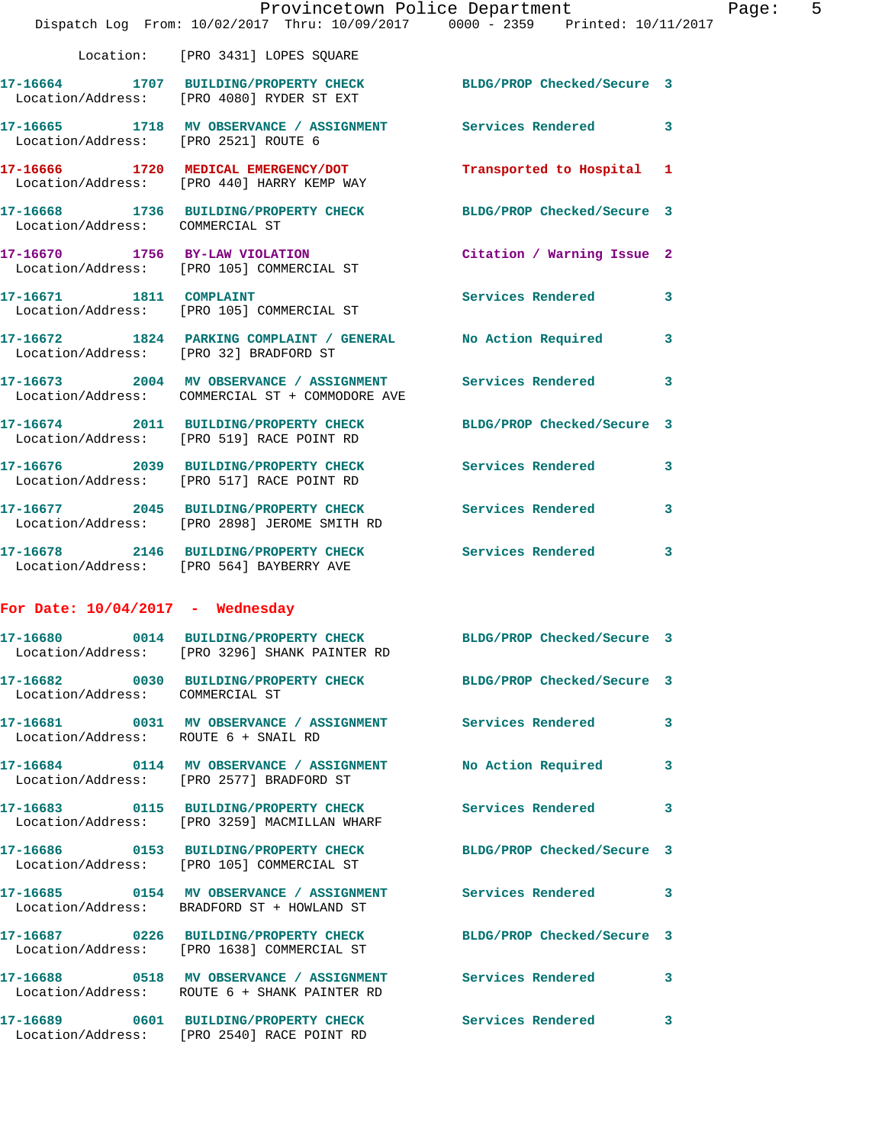|                                      | Provincetown Police Department<br>Dispatch Log From: 10/02/2017 Thru: 10/09/2017 0000 - 2359 Printed: 10/11/2017 |                            |   |
|--------------------------------------|------------------------------------------------------------------------------------------------------------------|----------------------------|---|
|                                      | Location: [PRO 3431] LOPES SQUARE                                                                                |                            |   |
|                                      | 17-16664 1707 BUILDING/PROPERTY CHECK BLDG/PROP Checked/Secure 3<br>Location/Address: [PRO 4080] RYDER ST EXT    |                            |   |
| Location/Address: [PRO 2521] ROUTE 6 | 17-16665 1718 MV OBSERVANCE / ASSIGNMENT Services Rendered                                                       |                            | 3 |
|                                      | 17-16666 1720 MEDICAL EMERGENCY/DOT<br>Location/Address: [PRO 440] HARRY KEMP WAY                                | Transported to Hospital    | 1 |
| Location/Address: COMMERCIAL ST      | 17-16668 1736 BUILDING/PROPERTY CHECK                                                                            | BLDG/PROP Checked/Secure 3 |   |
|                                      | 17-16670 1756 BY-LAW VIOLATION<br>Location/Address: [PRO 105] COMMERCIAL ST                                      | Citation / Warning Issue 2 |   |
| 17-16671 1811 COMPLAINT              | Location/Address: [PRO 105] COMMERCIAL ST                                                                        | Services Rendered          | 3 |
|                                      | 17-16672 1824 PARKING COMPLAINT / GENERAL No Action Required<br>Location/Address: [PRO 32] BRADFORD ST           |                            | 3 |
|                                      | 17-16673 2004 MV OBSERVANCE / ASSIGNMENT Services Rendered<br>Location/Address: COMMERCIAL ST + COMMODORE AVE    |                            | 3 |
|                                      | 17-16674 2011 BUILDING/PROPERTY CHECK<br>Location/Address: [PRO 519] RACE POINT RD                               | BLDG/PROP Checked/Secure 3 |   |
|                                      | 17-16676 2039 BUILDING/PROPERTY CHECK Services Rendered<br>Location/Address: [PRO 517] RACE POINT RD             |                            | 3 |
|                                      | 17-16677 2045 BUILDING/PROPERTY CHECK Services Rendered<br>Location/Address: [PRO 2898] JEROME SMITH RD          |                            | 3 |
|                                      | 17-16678 2146 BUILDING/PROPERTY CHECK Services Rendered<br>Location/Address: [PRO 564] BAYBERRY AVE              |                            | 3 |
| For Date: $10/04/2017$ - Wednesday   |                                                                                                                  |                            |   |
| 0014<br>17-16680                     | BUILDING/PROPERTY CHECK<br>Location/Address: [PRO 3296] SHANK PAINTER RD                                         | BLDG/PROP Checked/Secure 3 |   |
| Location/Address: COMMERCIAL ST      | 17-16682 0030 BUILDING/PROPERTY CHECK BLDG/PROP Checked/Secure 3                                                 |                            |   |
| Location/Address: ROUTE 6 + SNAIL RD | 17-16681 0031 MV OBSERVANCE / ASSIGNMENT Services Rendered                                                       |                            | 3 |
|                                      | 17-16684 0114 MV OBSERVANCE / ASSIGNMENT No Action Required<br>Location/Address: [PRO 2577] BRADFORD ST          |                            | 3 |
|                                      | 17-16683 0115 BUILDING/PROPERTY CHECK<br>Location/Address: [PRO 3259] MACMILLAN WHARF                            | Services Rendered          | 3 |
|                                      | 17-16686 0153 BUILDING/PROPERTY CHECK<br>Location/Address: [PRO 105] COMMERCIAL ST                               | BLDG/PROP Checked/Secure 3 |   |
|                                      | 17-16685 0154 MV OBSERVANCE / ASSIGNMENT Services Rendered<br>Location/Address: BRADFORD ST + HOWLAND ST         |                            | 3 |
|                                      | 17-16687 0226 BUILDING/PROPERTY CHECK BLDG/PROP Checked/Secure 3<br>Location/Address: [PRO 1638] COMMERCIAL ST   |                            |   |
|                                      | 17-16688 0518 MV OBSERVANCE / ASSIGNMENT Services Rendered<br>Location/Address: ROUTE 6 + SHANK PAINTER RD       |                            | 3 |
|                                      | 17-16689 0601 BUILDING/PROPERTY CHECK Services Rendered                                                          |                            | 3 |

Location/Address: [PRO 2540] RACE POINT RD

Page:  $5$ <br>017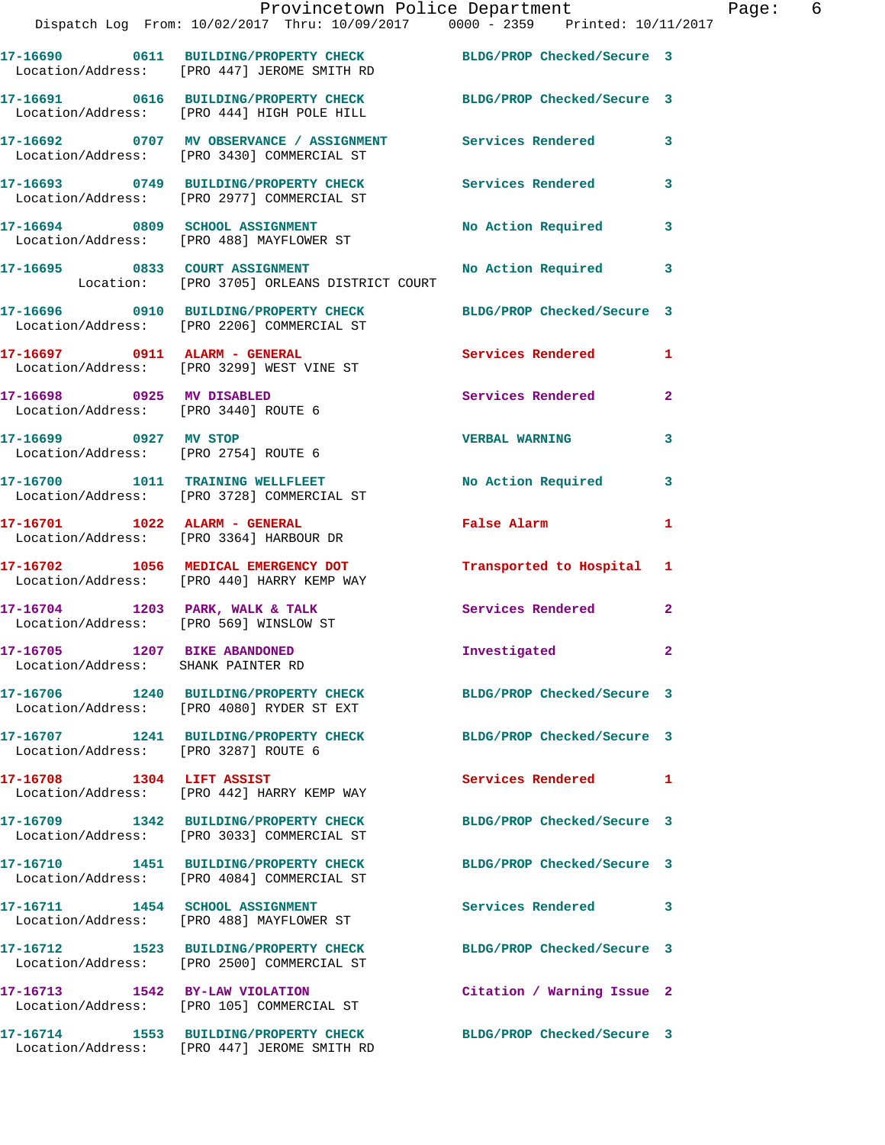|                                                                    | Provincetown Police Department<br>Dispatch Log From: 10/02/2017 Thru: 10/09/2017 0000 - 2359 Printed: 10/11/2017 |                            |              |
|--------------------------------------------------------------------|------------------------------------------------------------------------------------------------------------------|----------------------------|--------------|
|                                                                    | 17-16690 0611 BUILDING/PROPERTY CHECK BLDG/PROP Checked/Secure 3<br>Location/Address: [PRO 447] JEROME SMITH RD  |                            |              |
|                                                                    | 17-16691 0616 BUILDING/PROPERTY CHECK<br>Location/Address: [PRO 444] HIGH POLE HILL                              | BLDG/PROP Checked/Secure 3 |              |
|                                                                    | 17-16692 0707 MV OBSERVANCE / ASSIGNMENT Services Rendered<br>Location/Address: [PRO 3430] COMMERCIAL ST         |                            | 3            |
|                                                                    | 17-16693 0749 BUILDING/PROPERTY CHECK Services Rendered<br>Location/Address: [PRO 2977] COMMERCIAL ST            |                            | 3            |
|                                                                    | 17-16694 0809 SCHOOL ASSIGNMENT<br>Location/Address: [PRO 488] MAYFLOWER ST                                      | <b>No Action Required</b>  | 3            |
|                                                                    | 17-16695 0833 COURT ASSIGNMENT<br>Location: [PRO 3705] ORLEANS DISTRICT COURT                                    | No Action Required         | 3            |
|                                                                    | 17-16696 0910 BUILDING/PROPERTY CHECK BLDG/PROP Checked/Secure 3<br>Location/Address: [PRO 2206] COMMERCIAL ST   |                            |              |
| 17-16697 0911 ALARM - GENERAL                                      | Location/Address: [PRO 3299] WEST VINE ST                                                                        | Services Rendered          | 1            |
| 17-16698 0925 MV DISABLED<br>Location/Address: [PRO 3440] ROUTE 6  |                                                                                                                  | Services Rendered          | $\mathbf{2}$ |
| 17-16699 0927 MV STOP<br>Location/Address: [PRO 2754] ROUTE 6      |                                                                                                                  | <b>VERBAL WARNING</b>      | 3            |
|                                                                    | 17-16700 1011 TRAINING WELLFLEET<br>Location/Address: [PRO 3728] COMMERCIAL ST                                   | No Action Required         | 3            |
|                                                                    | Location/Address: [PRO 3364] HARBOUR DR                                                                          | False Alarm                | 1            |
|                                                                    | 17-16702 1056 MEDICAL EMERGENCY DOT<br>Location/Address: [PRO 440] HARRY KEMP WAY                                | Transported to Hospital    | 1            |
|                                                                    | $17-16704$ 1203 PARK, WALK & TALK<br>Location/Address: [PRO 569] WINSLOW ST                                      | Services Rendered          | $\mathbf{2}$ |
| 17-16705 1207 BIKE ABANDONED<br>Location/Address: SHANK PAINTER RD |                                                                                                                  | Investigated               | 2            |
|                                                                    | 17-16706 1240 BUILDING/PROPERTY CHECK<br>Location/Address: [PRO 4080] RYDER ST EXT                               | BLDG/PROP Checked/Secure 3 |              |
| Location/Address: [PRO 3287] ROUTE 6                               | 17-16707 1241 BUILDING/PROPERTY CHECK                                                                            | BLDG/PROP Checked/Secure 3 |              |
| 17-16708 1304 LIFT ASSIST                                          | Location/Address: [PRO 442] HARRY KEMP WAY                                                                       | Services Rendered          | 1            |
|                                                                    | 17-16709 1342 BUILDING/PROPERTY CHECK<br>Location/Address: [PRO 3033] COMMERCIAL ST                              | BLDG/PROP Checked/Secure 3 |              |
|                                                                    | 17-16710 1451 BUILDING/PROPERTY CHECK<br>Location/Address: [PRO 4084] COMMERCIAL ST                              | BLDG/PROP Checked/Secure 3 |              |
|                                                                    | Location/Address: [PRO 488] MAYFLOWER ST                                                                         | Services Rendered          | 3            |
|                                                                    | 17-16712 1523 BUILDING/PROPERTY CHECK<br>Location/Address: [PRO 2500] COMMERCIAL ST                              | BLDG/PROP Checked/Secure 3 |              |
|                                                                    | 17-16713 1542 BY-LAW VIOLATION<br>Location/Address: [PRO 105] COMMERCIAL ST                                      | Citation / Warning Issue 2 |              |
|                                                                    | 17-16714 1553 BUILDING/PROPERTY CHECK                                                                            | BLDG/PROP Checked/Secure 3 |              |

Location/Address: [PRO 447] JEROME SMITH RD

Page: 6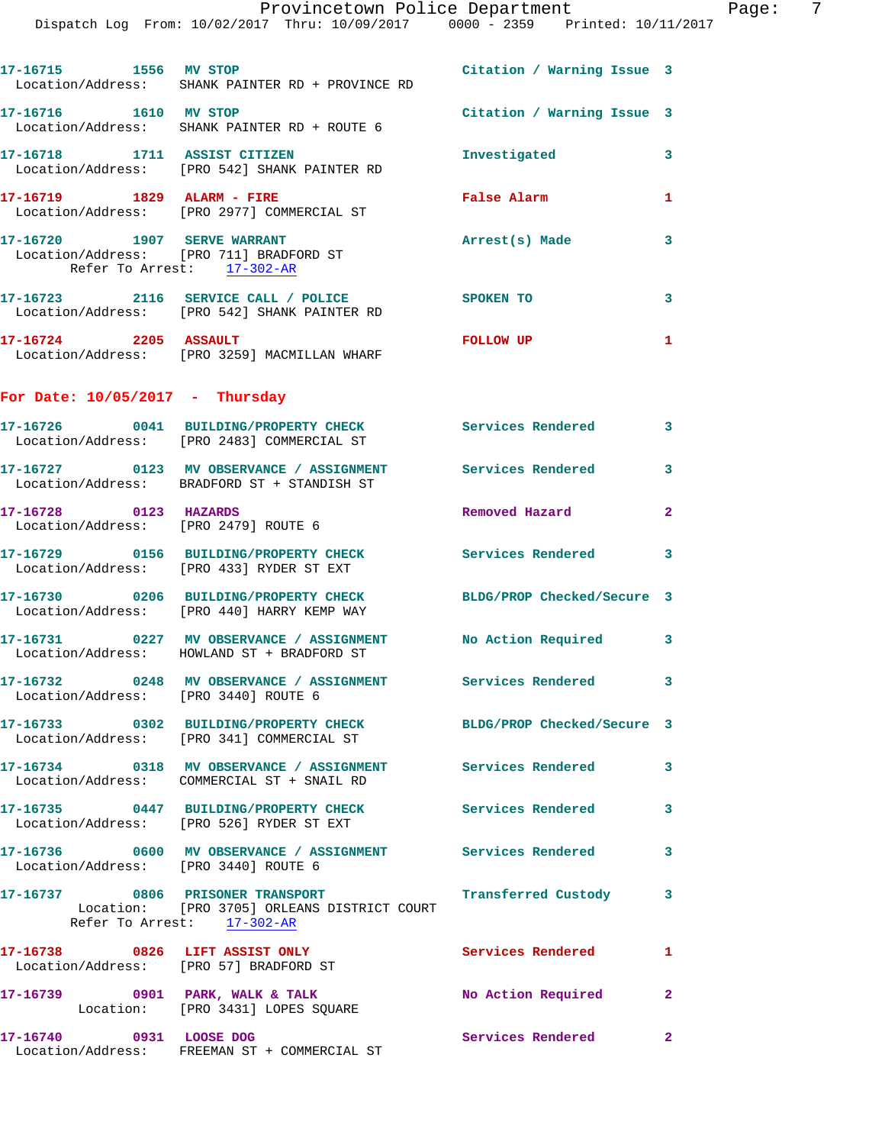|                                      | Provincetown Police Department<br>Dispatch Log From: 10/02/2017 Thru: 10/09/2017 0000 - 2359 Printed: 10/11/2017                         |                            |                         |
|--------------------------------------|------------------------------------------------------------------------------------------------------------------------------------------|----------------------------|-------------------------|
|                                      | 17-16715 1556 MV STOP 17-16715 21 Citation / Warning Issue 3<br>Location/Address: SHANK PAINTER RD + PROVINCE RD                         |                            |                         |
|                                      | 17-16716 1610 MV STOP<br>Location/Address: SHANK PAINTER RD + ROUTE 6                                                                    | Citation / Warning Issue 3 |                         |
|                                      | 17-16718 1711 ASSIST CITIZEN<br>Location/Address: [PRO 542] SHANK PAINTER RD                                                             | Investigated 3             |                         |
|                                      | 17-16719 1829 ALARM - FIRE<br>Location/Address: [PRO 2977] COMMERCIAL ST                                                                 | <b>False Alarm</b>         |                         |
| Refer To Arrest: 17-302-AR           | 17-16720 1907 SERVE WARRANT<br>Location/Address: [PRO 711] BRADFORD ST                                                                   | Arrest(s) Made             | $\overline{\mathbf{3}}$ |
|                                      | 17-16723 2116 SERVICE CALL / POLICE SPOKEN TO<br>Location/Address: [PRO 542] SHANK PAINTER RD                                            |                            | $\mathbf{3}$            |
|                                      | 17-16724 2205 ASSAULT<br>Location/Address: [PRO 3259] MACMILLAN WHARF                                                                    | FOLLOW UP                  | 1                       |
| For Date: $10/05/2017$ - Thursday    |                                                                                                                                          |                            |                         |
|                                      | 17-16726 0041 BUILDING/PROPERTY CHECK Services Rendered 3<br>Location/Address: [PRO 2483] COMMERCIAL ST                                  |                            |                         |
|                                      | 17-16727 0123 MV OBSERVANCE / ASSIGNMENT Services Rendered<br>Location/Address: BRADFORD ST + STANDISH ST                                |                            | $\mathbf{3}$            |
| 17-16728 0123 HAZARDS                | Location/Address: [PRO 2479] ROUTE 6                                                                                                     | Removed Hazard             | $\overline{2}$          |
|                                      | 17-16729 0156 BUILDING/PROPERTY CHECK Services Rendered 3<br>Location/Address: [PRO 433] RYDER ST EXT                                    |                            |                         |
|                                      | 17-16730 0206 BUILDING/PROPERTY CHECK BLDG/PROP Checked/Secure 3<br>Location/Address: [PRO 440] HARRY KEMP WAY                           |                            |                         |
|                                      | 17-16731 0227 MV OBSERVANCE / ASSIGNMENT No Action Required 3<br>Location/Address: HOWLAND ST + BRADFORD ST                              |                            |                         |
| Location/Address: [PRO 3440] ROUTE 6 | 17-16732 0248 MV OBSERVANCE / ASSIGNMENT Services Rendered 3                                                                             |                            |                         |
|                                      | 17-16733 0302 BUILDING/PROPERTY CHECK BLDG/PROP Checked/Secure 3<br>Location/Address: [PRO 341] COMMERCIAL ST                            |                            |                         |
|                                      | 17-16734 0318 MV OBSERVANCE / ASSIGNMENT Services Rendered<br>Location/Address: COMMERCIAL ST + SNAIL RD                                 |                            | $\mathbf{3}$            |
|                                      | 17-16735 0447 BUILDING/PROPERTY CHECK Services Rendered 3<br>Location/Address: [PRO 526] RYDER ST EXT                                    |                            |                         |
|                                      | 17-16736 0600 MV OBSERVANCE / ASSIGNMENT Services Rendered<br>Location/Address: [PRO 3440] ROUTE 6                                       |                            | $\mathbf{3}$            |
|                                      | 17-16737 0806 PRISONER TRANSPORT <b>Transferred Custody</b><br>Location: [PRO 3705] ORLEANS DISTRICT COURT<br>Refer To Arrest: 17-302-AR |                            | $\mathbf{3}$            |
|                                      | 17-16738 0826 LIFT ASSIST ONLY<br>Location/Address: [PRO 57] BRADFORD ST                                                                 | Services Rendered 1        |                         |
|                                      | 17-16739 0901 PARK, WALK & TALK<br>Location: [PRO 3431] LOPES SQUARE                                                                     | No Action Required 2       |                         |
| 17-16740 0931 LOOSE DOG              |                                                                                                                                          | Services Rendered 2        |                         |

Location/Address: FREEMAN ST + COMMERCIAL ST

Provincetown Police Department Page: 7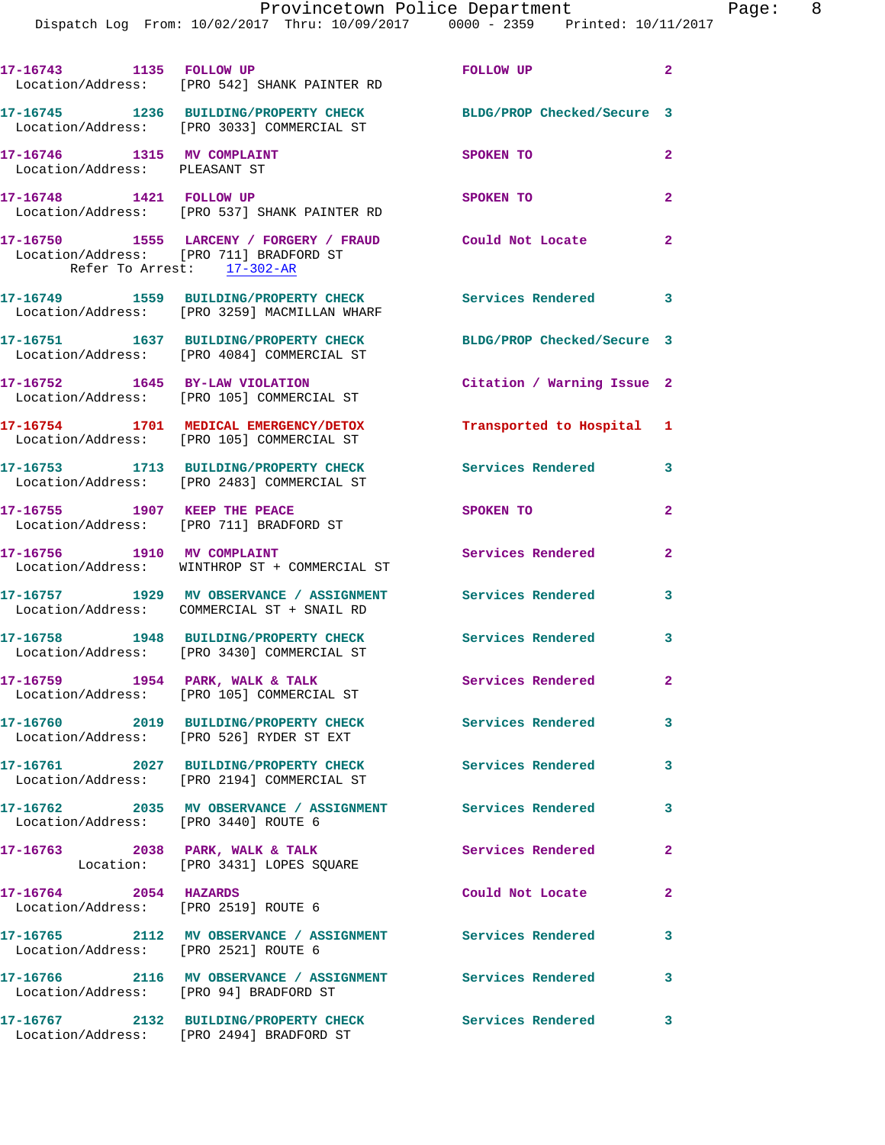Dispatch Log From: 10/02/2017 Thru: 10/09/2017 0000 - 2359 Printed: 10/11/2017

|                                                               | 17-16743 1135 FOLLOW UP<br>Location/Address: [PRO 542] SHANK PAINTER RD                                                           | FOLLOW UP                  | $\overline{a}$             |
|---------------------------------------------------------------|-----------------------------------------------------------------------------------------------------------------------------------|----------------------------|----------------------------|
|                                                               | 17-16745 1236 BUILDING/PROPERTY CHECK<br>Location/Address: [PRO 3033] COMMERCIAL ST                                               | BLDG/PROP Checked/Secure 3 |                            |
| 17-16746 1315 MV COMPLAINT<br>Location/Address: PLEASANT ST   |                                                                                                                                   | SPOKEN TO                  | 2                          |
| 17-16748 1421 FOLLOW UP                                       | Location/Address: [PRO 537] SHANK PAINTER RD                                                                                      | SPOKEN TO                  | $\overline{2}$             |
|                                                               | 17-16750 1555 LARCENY / FORGERY / FRAUD Could Not Locate<br>Location/Address: [PRO 711] BRADFORD ST<br>Refer To Arrest: 17-302-AR |                            | $\overline{2}$             |
|                                                               | 17-16749 1559 BUILDING/PROPERTY CHECK<br>Location/Address: [PRO 3259] MACMILLAN WHARF                                             | <b>Services Rendered</b>   | $\overline{\phantom{a}}$ 3 |
|                                                               | 17-16751 1637 BUILDING/PROPERTY CHECK<br>Location/Address: [PRO 4084] COMMERCIAL ST                                               | BLDG/PROP Checked/Secure 3 |                            |
|                                                               | 17-16752 1645 BY-LAW VIOLATION<br>Location/Address: [PRO 105] COMMERCIAL ST                                                       | Citation / Warning Issue 2 |                            |
|                                                               | 17-16754 1701 MEDICAL EMERGENCY/DETOX<br>Location/Address: [PRO 105] COMMERCIAL ST                                                | Transported to Hospital 1  |                            |
|                                                               | 17-16753 1713 BUILDING/PROPERTY CHECK<br>Location/Address: [PRO 2483] COMMERCIAL ST                                               | <b>Services Rendered</b>   | 3                          |
| 17-16755 1907 KEEP THE PEACE                                  | Location/Address: [PRO 711] BRADFORD ST                                                                                           | SPOKEN TO                  | $\mathbf{2}$               |
|                                                               | 17-16756 1910 MV COMPLAINT<br>Location/Address: WINTHROP ST + COMMERCIAL ST                                                       | Services Rendered          | 2                          |
|                                                               | 17-16757 1929 MV OBSERVANCE / ASSIGNMENT<br>Location/Address: COMMERCIAL ST + SNAIL RD                                            | <b>Services Rendered</b>   | 3                          |
|                                                               | 17-16758 1948 BUILDING/PROPERTY CHECK<br>Location/Address: [PRO 3430] COMMERCIAL ST                                               | <b>Services Rendered</b>   | 3                          |
| 17-16759 1954 PARK, WALK & TALK                               | Location/Address: [PRO 105] COMMERCIAL ST                                                                                         | Services Rendered          | $\mathbf{2}$               |
|                                                               | 17-16760 2019 BUILDING/PROPERTY CHECK<br>Location/Address: [PRO 526] RYDER ST EXT                                                 | Services Rendered          | 3                          |
|                                                               | 17-16761 2027 BUILDING/PROPERTY CHECK<br>Location/Address: [PRO 2194] COMMERCIAL ST                                               | <b>Services Rendered</b>   | $\mathbf{3}$               |
| Location/Address: [PRO 3440] ROUTE 6                          | 17-16762 2035 MV OBSERVANCE / ASSIGNMENT Services Rendered                                                                        |                            | 3                          |
|                                                               | 17-16763 2038 PARK, WALK & TALK<br>Location: [PRO 3431] LOPES SQUARE                                                              | Services Rendered          | $\mathbf{2}$               |
| 17-16764 2054 HAZARDS<br>Location/Address: [PRO 2519] ROUTE 6 |                                                                                                                                   | Could Not Locate           | $\mathbf{2}$               |
| Location/Address: [PRO 2521] ROUTE 6                          | 17-16765 2112 MV OBSERVANCE / ASSIGNMENT Services Rendered                                                                        |                            | 3                          |
|                                                               | 17-16766 2116 MV OBSERVANCE / ASSIGNMENT Services Rendered<br>Location/Address: [PRO 94] BRADFORD ST                              |                            | 3                          |
|                                                               | 17-16767 2132 BUILDING/PROPERTY CHECK<br>Location/Address: [PRO 2494] BRADFORD ST                                                 | Services Rendered          | 3                          |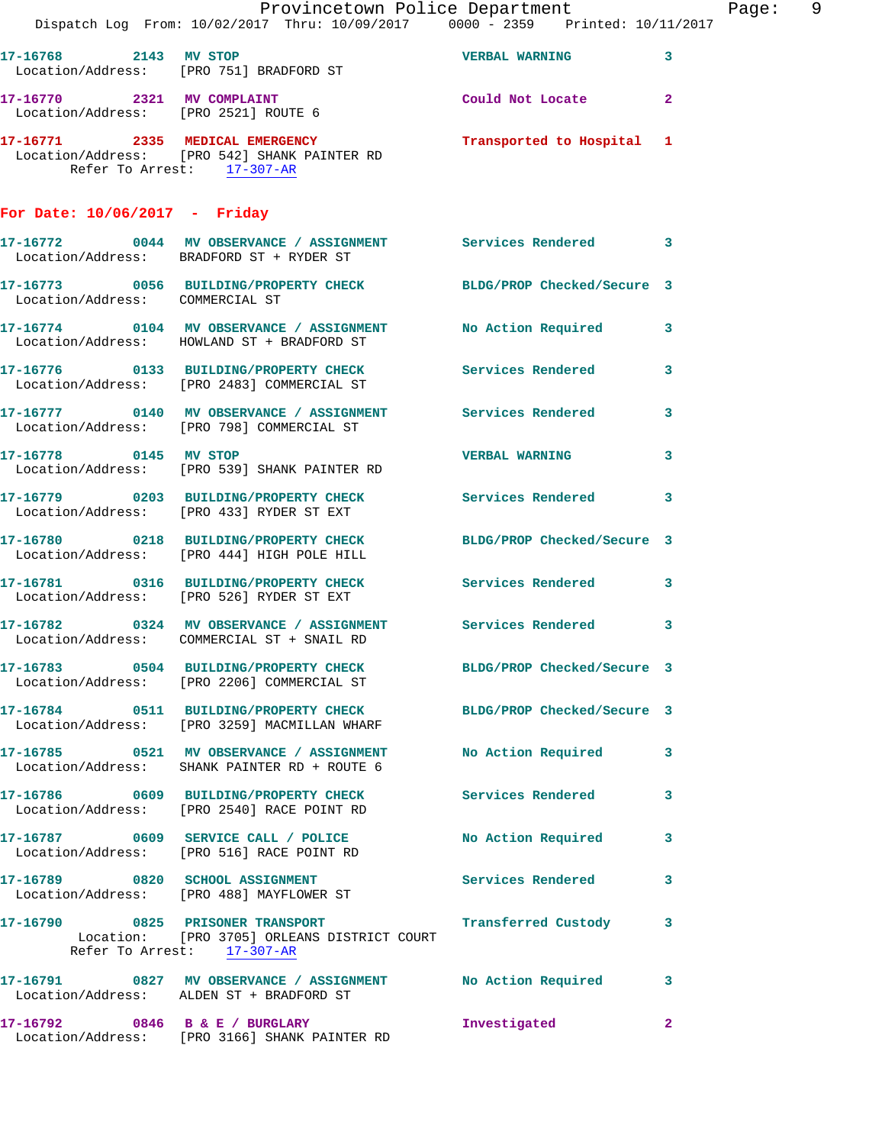|                                      | Provincetown Police Department<br>Dispatch Log From: 10/02/2017 Thru: 10/09/2017 0000 - 2359 Printed: 10/11/2017                             |                         | Page: 9                 |  |
|--------------------------------------|----------------------------------------------------------------------------------------------------------------------------------------------|-------------------------|-------------------------|--|
| 17-16768 2143 MV STOP                | Location/Address: [PRO 751] BRADFORD ST                                                                                                      | <b>VERBAL WARNING</b> 3 |                         |  |
| Location/Address: [PRO 2521] ROUTE 6 | 17-16770 2321 MV COMPLAINT                                                                                                                   | Could Not Locate 2      |                         |  |
|                                      | 17-16771  2335   MEDICAL EMERGENCY   Transported to Hospital 1<br>Location/Address: [PRO 542] SHANK PAINTER RD<br>Refer To Arrest: 17-307-AR |                         |                         |  |
| For Date: $10/06/2017$ - Friday      |                                                                                                                                              |                         |                         |  |
|                                      | 17-16772 0044 MV OBSERVANCE / ASSIGNMENT Services Rendered 3<br>Location/Address: BRADFORD ST + RYDER ST                                     |                         |                         |  |
| Location/Address: COMMERCIAL ST      | 17-16773 0056 BUILDING/PROPERTY CHECK BLDG/PROP Checked/Secure 3                                                                             |                         |                         |  |
|                                      | 17-16774 0104 MV OBSERVANCE / ASSIGNMENT No Action Required 3<br>Location/Address: HOWLAND ST + BRADFORD ST                                  |                         |                         |  |
|                                      | 17-16776 0133 BUILDING/PROPERTY CHECK Services Rendered<br>Location/Address: [PRO 2483] COMMERCIAL ST                                        |                         | $\overline{\mathbf{3}}$ |  |
|                                      | 17-16777 0140 MV OBSERVANCE / ASSIGNMENT Services Rendered 3<br>Location/Address: [PRO 798] COMMERCIAL ST                                    |                         |                         |  |
|                                      | 17-16778 0145 MV STOP<br>Location/Address: [PRO 539] SHANK PAINTER RD                                                                        | <b>VERBAL WARNING 3</b> |                         |  |
|                                      | 17-16779 0203 BUILDING/PROPERTY CHECK Services Rendered 3<br>Location/Address: [PRO 433] RYDER ST EXT                                        |                         |                         |  |
|                                      | 17-16780 0218 BUILDING/PROPERTY CHECK BLDG/PROP Checked/Secure 3<br>Location/Address: [PRO 444] HIGH POLE HILL                               |                         |                         |  |
|                                      | 17-16781 0316 BUILDING/PROPERTY CHECK Services Rendered 3<br>Location/Address: [PRO 526] RYDER ST EXT                                        |                         |                         |  |
|                                      | 17-16782 0324 MV OBSERVANCE / ASSIGNMENT Services Rendered 3<br>Location/Address: COMMERCIAL ST + SNAIL RD                                   |                         |                         |  |
|                                      | 17-16783 0504 BUILDING/PROPERTY CHECK BLDG/PROP Checked/Secure 3<br>Location/Address: [PRO 2206] COMMERCIAL ST                               |                         |                         |  |
|                                      | 17-16784 0511 BUILDING/PROPERTY CHECK BLDG/PROP Checked/Secure 3<br>Location/Address: [PRO 3259] MACMILLAN WHARF                             |                         |                         |  |
|                                      | 17-16785 0521 MV OBSERVANCE / ASSIGNMENT No Action Required 3<br>Location/Address: SHANK PAINTER RD + ROUTE 6                                |                         |                         |  |
|                                      | 17-16786 0609 BUILDING/PROPERTY CHECK Services Rendered<br>Location/Address: [PRO 2540] RACE POINT RD                                        |                         | 3                       |  |
|                                      | 17-16787 0609 SERVICE CALL / POLICE No Action Required 3<br>Location/Address: [PRO 516] RACE POINT RD                                        |                         |                         |  |
|                                      | 17-16789 0820 SCHOOL ASSIGNMENT Services Rendered 3<br>Location/Address: [PRO 488] MAYFLOWER ST                                              |                         |                         |  |
|                                      | 17-16790 0825 PRISONER TRANSPORT<br>Location: [PRO 3705] ORLEANS DISTRICT COURT<br>Refer To Arrest: 17-307-AR                                | Transferred Custody 3   |                         |  |
|                                      | 17-16791 0827 MV OBSERVANCE / ASSIGNMENT No Action Required 3<br>Location/Address: ALDEN ST + BRADFORD ST                                    |                         |                         |  |
|                                      | 17-16792 0846 B & E / BURGLARY<br>Location/Address: [PRO 3166] SHANK PAINTER RD                                                              | Investigated            | $\mathbf{2}$            |  |
|                                      |                                                                                                                                              |                         |                         |  |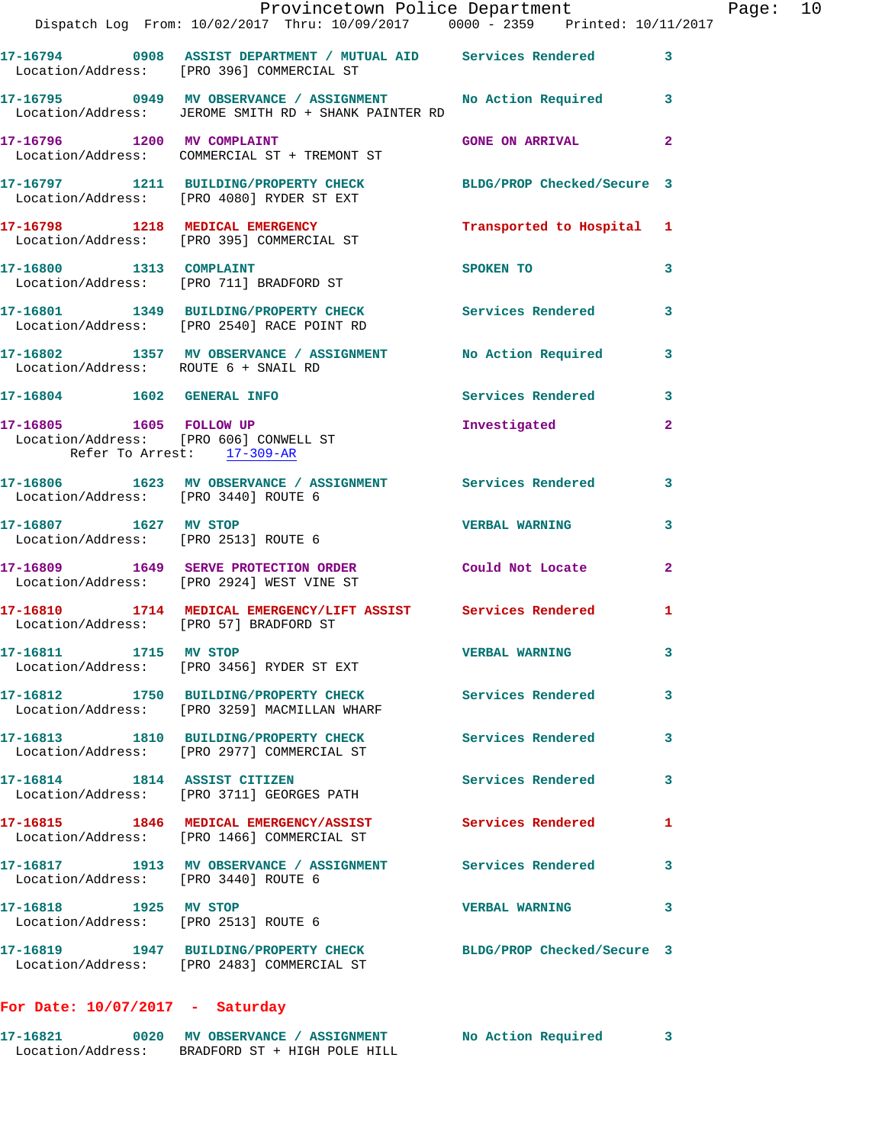|                                                             | Provincetown Police Department<br>Dispatch Log From: 10/02/2017 Thru: 10/09/2017 0000 - 2359 Printed: 10/11/2017      |                           |                         | Page: 10 |  |
|-------------------------------------------------------------|-----------------------------------------------------------------------------------------------------------------------|---------------------------|-------------------------|----------|--|
|                                                             |                                                                                                                       |                           |                         |          |  |
|                                                             | 17-16794 0908 ASSIST DEPARTMENT / MUTUAL AID Services Rendered 3<br>Location/Address: [PRO 396] COMMERCIAL ST         |                           |                         |          |  |
|                                                             | 17-16795 0949 MV OBSERVANCE / ASSIGNMENT No Action Required 3<br>Location/Address: JEROME SMITH RD + SHANK PAINTER RD |                           |                         |          |  |
|                                                             | 17-16796 1200 MV COMPLAINT<br>Location/Address: COMMERCIAL ST + TREMONT ST                                            | <b>GONE ON ARRIVAL</b>    | $\mathbf{2}$            |          |  |
|                                                             | 17-16797 1211 BUILDING/PROPERTY CHECK BLDG/PROP Checked/Secure 3<br>Location/Address: [PRO 4080] RYDER ST EXT         |                           |                         |          |  |
|                                                             | 17-16798 1218 MEDICAL EMERGENCY<br>Location/Address: [PRO 395] COMMERCIAL ST                                          | Transported to Hospital 1 |                         |          |  |
|                                                             | 17-16800 1313 COMPLAINT<br>Location/Address: [PRO 711] BRADFORD ST                                                    | SPOKEN TO                 | 3                       |          |  |
|                                                             | 17-16801 1349 BUILDING/PROPERTY CHECK Services Rendered<br>Location/Address: [PRO 2540] RACE POINT RD                 |                           | $\overline{\mathbf{3}}$ |          |  |
| Location/Address: ROUTE 6 + SNAIL RD                        | 17-16802 1357 MV OBSERVANCE / ASSIGNMENT No Action Required                                                           |                           | $\overline{\mathbf{3}}$ |          |  |
|                                                             |                                                                                                                       | Services Rendered 3       |                         |          |  |
| 17-16805    1605    FOLLOW UP<br>Refer To Arrest: 17-309-AR | Location/Address: [PRO 606] CONWELL ST                                                                                | Investigated              | $\mathbf{2}$            |          |  |
| Location/Address: [PRO 3440] ROUTE 6                        | 17-16806 1623 MV OBSERVANCE / ASSIGNMENT Services Rendered 3                                                          |                           |                         |          |  |
| Location/Address: [PRO 2513] ROUTE 6                        | 17-16807 1627 MV STOP                                                                                                 | <b>VERBAL WARNING</b>     | 3                       |          |  |
|                                                             | 17-16809 1649 SERVE PROTECTION ORDER Could Not Locate<br>Location/Address: [PRO 2924] WEST VINE ST                    |                           | $\mathbf{2}$            |          |  |
| Location/Address: [PRO 57] BRADFORD ST                      | 17-16810 1714 MEDICAL EMERGENCY/LIFT ASSIST Services Rendered                                                         |                           | 1                       |          |  |
| 17-16811 1715 MV STOP                                       | Location/Address: [PRO 3456] RYDER ST EXT                                                                             | <b>VERBAL WARNING</b>     | 3                       |          |  |
|                                                             | 17-16812 1750 BUILDING/PROPERTY CHECK Services Rendered<br>Location/Address: [PRO 3259] MACMILLAN WHARF               |                           | 3                       |          |  |
|                                                             | 17-16813 1810 BUILDING/PROPERTY CHECK<br>Location/Address: [PRO 2977] COMMERCIAL ST                                   | Services Rendered         | 3                       |          |  |
|                                                             | 17-16814 1814 ASSIST CITIZEN<br>Location/Address: [PRO 3711] GEORGES PATH                                             | Services Rendered         | 3                       |          |  |
|                                                             | 17-16815 1846 MEDICAL EMERGENCY/ASSIST<br>Location/Address: [PRO 1466] COMMERCIAL ST                                  | Services Rendered         | 1                       |          |  |
| Location/Address: [PRO 3440] ROUTE 6                        | 17-16817 1913 MV OBSERVANCE / ASSIGNMENT Services Rendered                                                            |                           | 3                       |          |  |
| 17-16818 1925 MV STOP                                       | Location/Address: [PRO 2513] ROUTE 6                                                                                  | <b>VERBAL WARNING</b>     | 3                       |          |  |
|                                                             | 17-16819 1947 BUILDING/PROPERTY CHECK BLDG/PROP Checked/Secure 3<br>Location/Address: [PRO 2483] COMMERCIAL ST        |                           |                         |          |  |

## **For Date: 10/07/2017 - Saturday**

| 17–16821          | 0020 MV OBSERVANCE / ASSIGNMENT | No Action Required |  |
|-------------------|---------------------------------|--------------------|--|
| Location/Address: | BRADFORD ST + HIGH POLE HILL    |                    |  |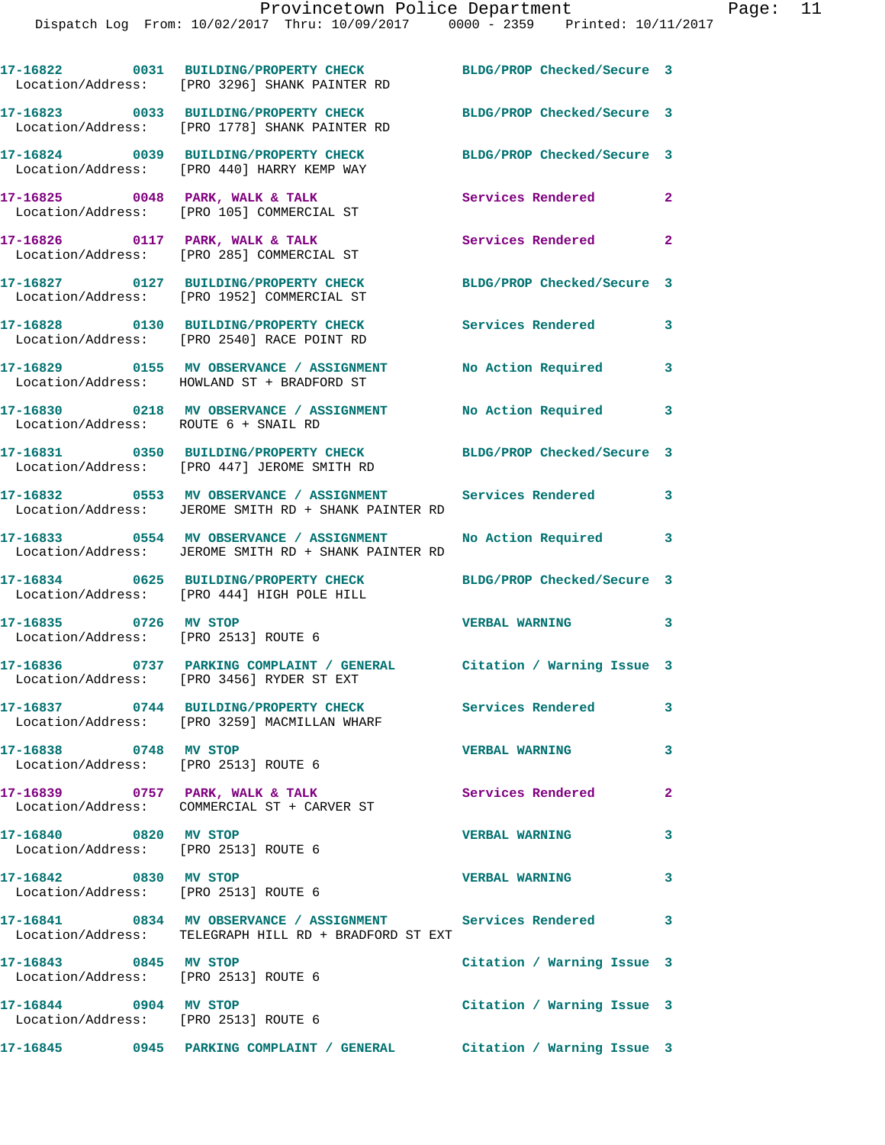|                       | 17-16822 0031 BUILDING/PROPERTY CHECK<br>Location/Address: [PRO 3296] SHANK PAINTER RD                              | BLDG/PROP Checked/Secure 3 |                |
|-----------------------|---------------------------------------------------------------------------------------------------------------------|----------------------------|----------------|
|                       | Location/Address: [PRO 1778] SHANK PAINTER RD                                                                       | BLDG/PROP Checked/Secure 3 |                |
|                       | 17-16824 0039 BUILDING/PROPERTY CHECK<br>Location/Address: [PRO 440] HARRY KEMP WAY                                 | BLDG/PROP Checked/Secure 3 |                |
|                       | 17-16825 0048 PARK, WALK & TALK<br>Location/Address: [PRO 105] COMMERCIAL ST                                        | Services Rendered          | $\overline{2}$ |
|                       | $17-16826$ 0117 PARK, WALK & TALK<br>Location/Address: [PRO 285] COMMERCIAL ST                                      | Services Rendered 2        |                |
|                       | 17-16827 0127 BUILDING/PROPERTY CHECK<br>Location/Address: [PRO 1952] COMMERCIAL ST                                 | BLDG/PROP Checked/Secure 3 |                |
|                       | 17-16828 0130 BUILDING/PROPERTY CHECK<br>Location/Address: [PRO 2540] RACE POINT RD                                 | <b>Services Rendered</b>   | 3              |
|                       | 17-16829 0155 MV OBSERVANCE / ASSIGNMENT No Action Required<br>Location/Address: HOWLAND ST + BRADFORD ST           |                            | 3              |
|                       | 17-16830 0218 MV OBSERVANCE / ASSIGNMENT No Action Required<br>Location/Address: ROUTE 6 + SNAIL RD                 |                            | 3              |
|                       | 17-16831 0350 BUILDING/PROPERTY CHECK BLDG/PROP Checked/Secure 3                                                    |                            |                |
|                       | Location/Address: [PRO 447] JEROME SMITH RD<br>17-16832 6553 MV OBSERVANCE / ASSIGNMENT Services Rendered           |                            | 3              |
|                       | Location/Address: JEROME SMITH RD + SHANK PAINTER RD<br>17-16833 0554 MV OBSERVANCE / ASSIGNMENT                    | No Action Required         | 3              |
|                       | Location/Address: JEROME SMITH RD + SHANK PAINTER RD                                                                |                            |                |
|                       | 17-16834 0625 BUILDING/PROPERTY CHECK<br>Location/Address: [PRO 444] HIGH POLE HILL                                 | BLDG/PROP Checked/Secure 3 |                |
| 17-16835 0726 MV STOP | Location/Address: [PRO 2513] ROUTE 6                                                                                | <b>VERBAL WARNING</b>      | 3              |
|                       | 17-16836 0737 PARKING COMPLAINT / GENERAL Citation / Warning Issue 3<br>Location/Address: [PRO 3456] RYDER ST EXT   |                            |                |
|                       | 17-16837 0744 BUILDING/PROPERTY CHECK Services Rendered<br>Location/Address: [PRO 3259] MACMILLAN WHARF             |                            | 3              |
| 17-16838 0748 MV STOP | Location/Address: [PRO 2513] ROUTE 6                                                                                | <b>VERBAL WARNING</b>      | 3              |
|                       | 17-16839 0757 PARK, WALK & TALK<br>Location/Address: COMMERCIAL ST + CARVER ST                                      | <b>Services Rendered</b>   | $\mathbf{2}$   |
| 17-16840 0820 MV STOP | Location/Address: [PRO 2513] ROUTE 6                                                                                | <b>VERBAL WARNING</b>      | 3              |
| 17-16842 0830 MV STOP | Location/Address: [PRO 2513] ROUTE 6                                                                                | <b>VERBAL WARNING</b>      | 3              |
|                       | 17-16841 0834 MV OBSERVANCE / ASSIGNMENT Services Rendered<br>Location/Address: TELEGRAPH HILL RD + BRADFORD ST EXT |                            | 3              |
| 17-16843 0845 MV STOP | Location/Address: [PRO 2513] ROUTE 6                                                                                | Citation / Warning Issue 3 |                |
| 17-16844 0904 MV STOP | Location/Address: [PRO 2513] ROUTE 6                                                                                | Citation / Warning Issue 3 |                |
|                       | 17-16845 0945 PARKING COMPLAINT / GENERAL Citation / Warning Issue 3                                                |                            |                |
|                       |                                                                                                                     |                            |                |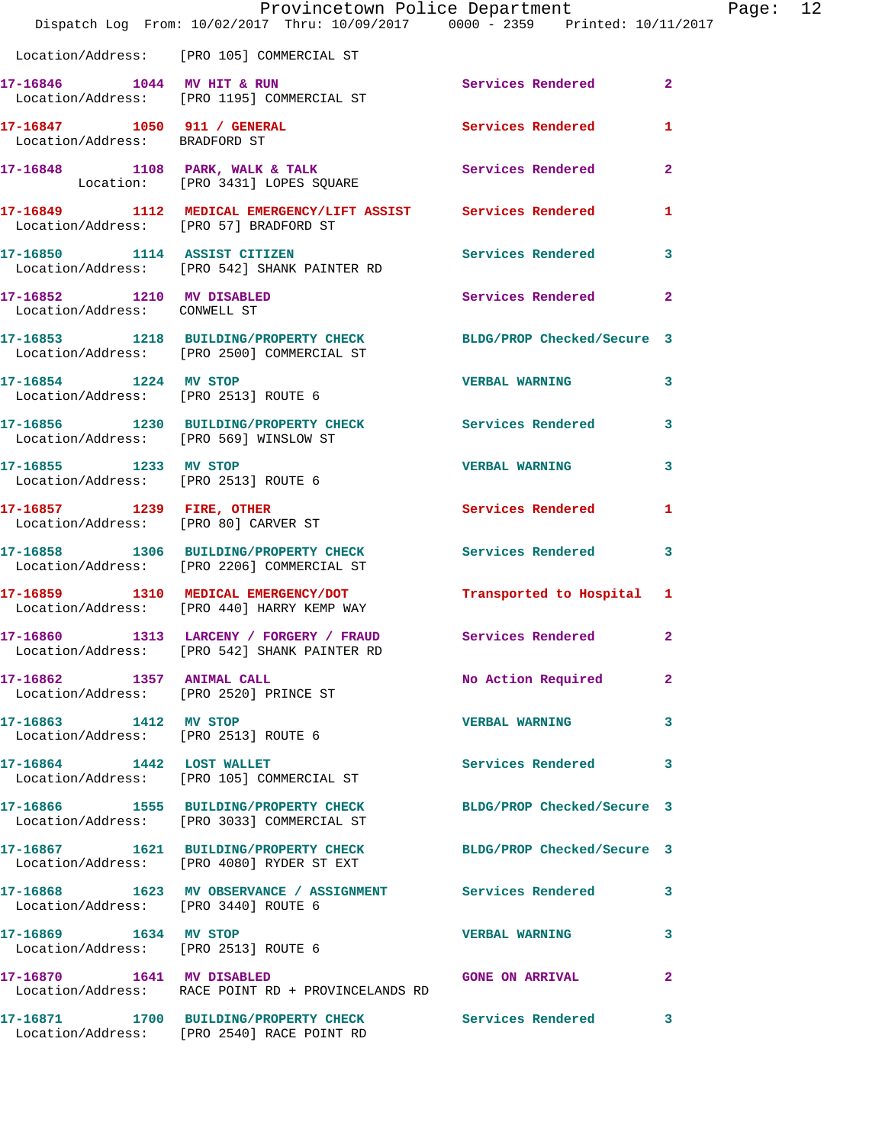|                                                               | Dispatch Log From: 10/02/2017 Thru: 10/09/2017 0000 - 2359 Printed: 10/11/2017                                 | Provincetown Police Department |                | Page: 12 |
|---------------------------------------------------------------|----------------------------------------------------------------------------------------------------------------|--------------------------------|----------------|----------|
|                                                               | Location/Address: [PRO 105] COMMERCIAL ST                                                                      |                                |                |          |
|                                                               | 17-16846 1044 MV HIT & RUN<br>Location/Address: [PRO 1195] COMMERCIAL ST                                       | Services Rendered 2            |                |          |
| Location/Address: BRADFORD ST                                 | 17-16847 1050 911 / GENERAL 1 Services Rendered 1                                                              |                                |                |          |
|                                                               | 17-16848 1108 PARK, WALK & TALK<br>Location: [PRO 3431] LOPES SQUARE                                           | Services Rendered              | $\overline{2}$ |          |
| Location/Address: [PRO 57] BRADFORD ST                        | 17-16849 1112 MEDICAL EMERGENCY/LIFT ASSIST Services Rendered 1                                                |                                |                |          |
|                                                               | 17-16850 1114 ASSIST CITIZEN<br>Location/Address: [PRO 542] SHANK PAINTER RD                                   | Services Rendered 3            |                |          |
| 17-16852 1210 MV DISABLED<br>Location/Address: CONWELL ST     |                                                                                                                | Services Rendered 2            |                |          |
|                                                               | 17-16853 1218 BUILDING/PROPERTY CHECK BLDG/PROP Checked/Secure 3<br>Location/Address: [PRO 2500] COMMERCIAL ST |                                |                |          |
| Location/Address: [PRO 2513] ROUTE 6                          | 17-16854 1224 MV STOP                                                                                          | VERBAL WARNING 3               |                |          |
| Location/Address: [PRO 569] WINSLOW ST                        | 17-16856 1230 BUILDING/PROPERTY CHECK Services Rendered 3                                                      |                                |                |          |
| 17-16855 1233 MV STOP<br>Location/Address: [PRO 2513] ROUTE 6 |                                                                                                                | <b>VERBAL WARNING</b>          | $\mathbf{3}$   |          |
|                                                               | 17-16857 1239 FIRE, OTHER<br>Location/Address: [PRO 80] CARVER ST                                              | <b>Services Rendered</b>       | $\mathbf{1}$   |          |
|                                                               | 17-16858 1306 BUILDING/PROPERTY CHECK Services Rendered<br>Location/Address: [PRO 2206] COMMERCIAL ST          |                                | $\mathbf{3}$   |          |
|                                                               | 17-16859 1310 MEDICAL EMERGENCY/DOT<br>Location/Address: [PRO 440] HARRY KEMP WAY                              | Transported to Hospital 1      |                |          |
|                                                               | 17-16860 1313 LARCENY / FORGERY / FRAUD Services Rendered 2<br>Location/Address: [PRO 542] SHANK PAINTER RD    |                                |                |          |
| 17-16862 1357 ANIMAL CALL                                     | Location/Address: [PRO 2520] PRINCE ST                                                                         | No Action Required             | $\mathbf{2}$   |          |
| 17-16863 1412 MV STOP<br>Location/Address: [PRO 2513] ROUTE 6 |                                                                                                                | VERBAL WARNING 3               |                |          |
|                                                               | 17-16864 1442 LOST WALLET<br>Location/Address: [PRO 105] COMMERCIAL ST                                         | Services Rendered 3            |                |          |
|                                                               | 17-16866 1555 BUILDING/PROPERTY CHECK BLDG/PROP Checked/Secure 3<br>Location/Address: [PRO 3033] COMMERCIAL ST |                                |                |          |
|                                                               | 17-16867 1621 BUILDING/PROPERTY CHECK BLDG/PROP Checked/Secure 3<br>Location/Address: [PRO 4080] RYDER ST EXT  |                                |                |          |
|                                                               | 17-16868 1623 MV OBSERVANCE / ASSIGNMENT Services Rendered 3<br>Location/Address: [PRO 3440] ROUTE 6           |                                |                |          |
| 17-16869 1634 MV STOP                                         | Location/Address: [PRO 2513] ROUTE 6                                                                           | <b>VERBAL WARNING</b>          | $\mathbf{3}$   |          |
|                                                               | 17-16870 1641 MV DISABLED<br>Location/Address: RACE POINT RD + PROVINCELANDS RD                                | <b>GONE ON ARRIVAL</b>         | $\mathbf{2}$   |          |
|                                                               | 17-16871 1700 BUILDING/PROPERTY CHECK Services Rendered 3<br>Location/Address: [PRO 2540] RACE POINT RD        |                                |                |          |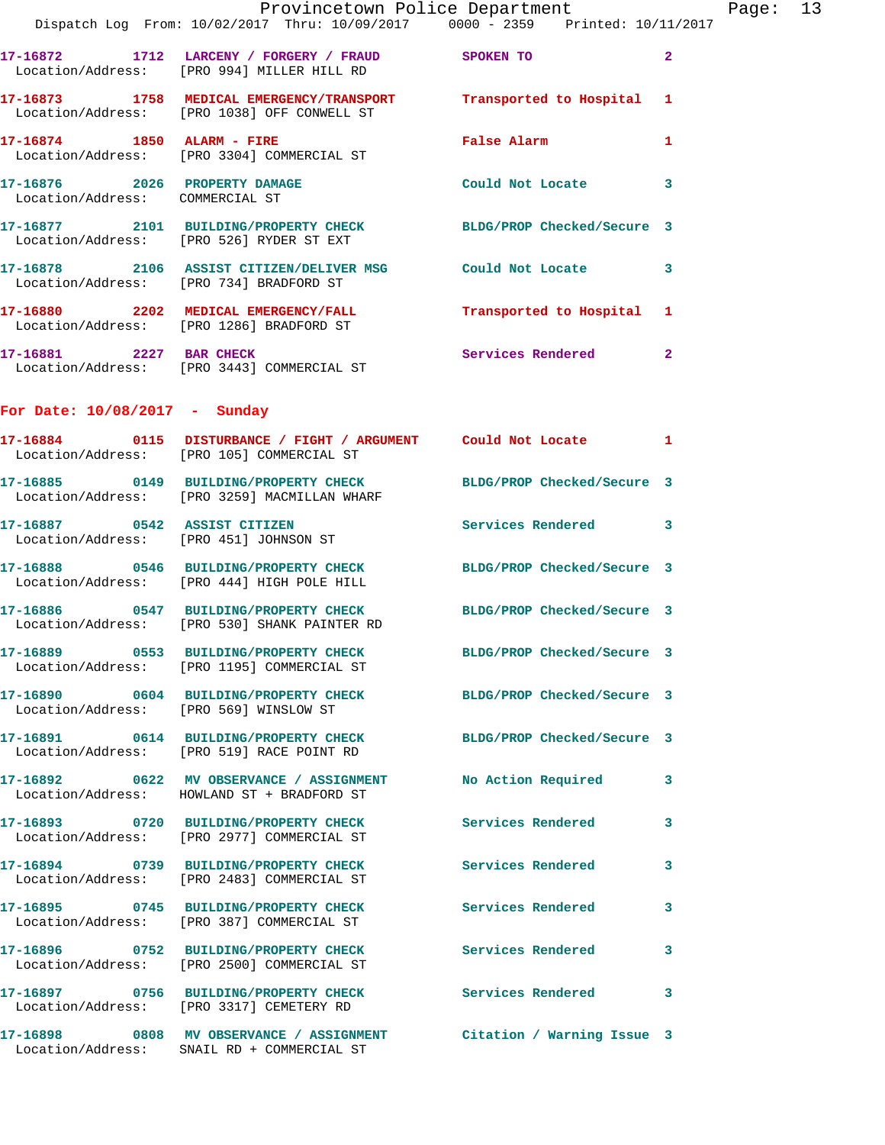|                                        | Provincetown Police Department<br>Dispatch Log From: 10/02/2017 Thru: 10/09/2017 0000 - 2359 Printed: 10/11/2017     |                                             |                | Page: 13 |  |
|----------------------------------------|----------------------------------------------------------------------------------------------------------------------|---------------------------------------------|----------------|----------|--|
|                                        | 17-16872 1712 LARCENY / FORGERY / FRAUD SPOKEN TO<br>Location/Address: [PRO 994] MILLER HILL RD                      |                                             | $\overline{2}$ |          |  |
|                                        | 17-16873 1758 MEDICAL EMERGENCY/TRANSPORT Transported to Hospital 1<br>  Location/Address: [PRO 1038] OFF CONWELL ST |                                             |                |          |  |
|                                        | 17-16874 1850 ALARM - FIRE<br>Location/Address: [PRO 3304] COMMERCIAL ST                                             | False Alarm <b>Exercise Service Service</b> | $\mathbf{1}$   |          |  |
| Location/Address: COMMERCIAL ST        | 17-16876 2026 PROPERTY DAMAGE Could Not Locate 3                                                                     |                                             |                |          |  |
|                                        | 17-16877 2101 BUILDING/PROPERTY CHECK BLDG/PROP Checked/Secure 3<br>Location/Address: [PRO 526] RYDER ST EXT         |                                             |                |          |  |
|                                        | 17-16878 2106 ASSIST CITIZEN/DELIVER MSG Could Not Locate 3<br>Location/Address: [PRO 734] BRADFORD ST               |                                             |                |          |  |
|                                        | 17-16880 2202 MEDICAL EMERGENCY/FALL <b>Transported</b> to Hospital 1<br>Location/Address: [PRO 1286] BRADFORD ST    |                                             |                |          |  |
|                                        | 17-16881 2227 BAR CHECK<br>Location/Address: [PRO 3443] COMMERCIAL ST                                                | Services Rendered 2                         |                |          |  |
| For Date: $10/08/2017$ - Sunday        |                                                                                                                      |                                             |                |          |  |
|                                        | 17-16884 0115 DISTURBANCE / FIGHT / ARGUMENT Could Not Locate 1<br>Location/Address: [PRO 105] COMMERCIAL ST         |                                             |                |          |  |
|                                        | 17-16885 0149 BUILDING/PROPERTY CHECK BLDG/PROP Checked/Secure 3<br>Location/Address: [PRO 3259] MACMILLAN WHARF     |                                             |                |          |  |
|                                        | 17-16887 0542 ASSIST CITIZEN<br>Location/Address: [PRO 451] JOHNSON ST                                               | Services Rendered 3                         |                |          |  |
|                                        | 17-16888 0546 BUILDING/PROPERTY CHECK BLDG/PROP Checked/Secure 3<br>Location/Address: [PRO 444] HIGH POLE HILL       |                                             |                |          |  |
|                                        | 17-16886 0547 BUILDING/PROPERTY CHECK BLDG/PROP Checked/Secure 3<br>Location/Address: [PRO 530] SHANK PAINTER RD     |                                             |                |          |  |
|                                        | 17-16889 0553 BUILDING/PROPERTY CHECK<br>Location/Address: [PRO 1195] COMMERCIAL ST                                  | BLDG/PROP Checked/Secure 3                  |                |          |  |
| Location/Address: [PRO 569] WINSLOW ST | 17-16890 0604 BUILDING/PROPERTY CHECK BLDG/PROP Checked/Secure 3                                                     |                                             |                |          |  |
|                                        | 17-16891 0614 BUILDING/PROPERTY CHECK BLDG/PROP Checked/Secure 3<br>Location/Address: [PRO 519] RACE POINT RD        |                                             |                |          |  |
|                                        | 17-16892 0622 MV OBSERVANCE / ASSIGNMENT<br>Location/Address: HOWLAND ST + BRADFORD ST                               | No Action Required 3                        |                |          |  |
|                                        | 17-16893 0720 BUILDING/PROPERTY CHECK Services Rendered 3<br>Location/Address: [PRO 2977] COMMERCIAL ST              |                                             |                |          |  |
|                                        | 17-16894 0739 BUILDING/PROPERTY CHECK<br>Location/Address: [PRO 2483] COMMERCIAL ST                                  | <b>Services Rendered</b>                    | $\mathbf{3}$   |          |  |
|                                        | 17-16895 0745 BUILDING/PROPERTY CHECK Services Rendered 3<br>Location/Address: [PRO 387] COMMERCIAL ST               |                                             |                |          |  |
|                                        | 17-16896 0752 BUILDING/PROPERTY CHECK<br>Location/Address: [PRO 2500] COMMERCIAL ST                                  | <b>Services Rendered</b>                    | $\mathbf{3}$   |          |  |
|                                        | 17-16897 0756 BUILDING/PROPERTY CHECK Services Rendered 3<br>Location/Address: [PRO 3317] CEMETERY RD                |                                             |                |          |  |
|                                        | 17-16898 0808 MV OBSERVANCE / ASSIGNMENT Citation / Warning Issue 3<br>Location/Address: SNAIL RD + COMMERCIAL ST    |                                             |                |          |  |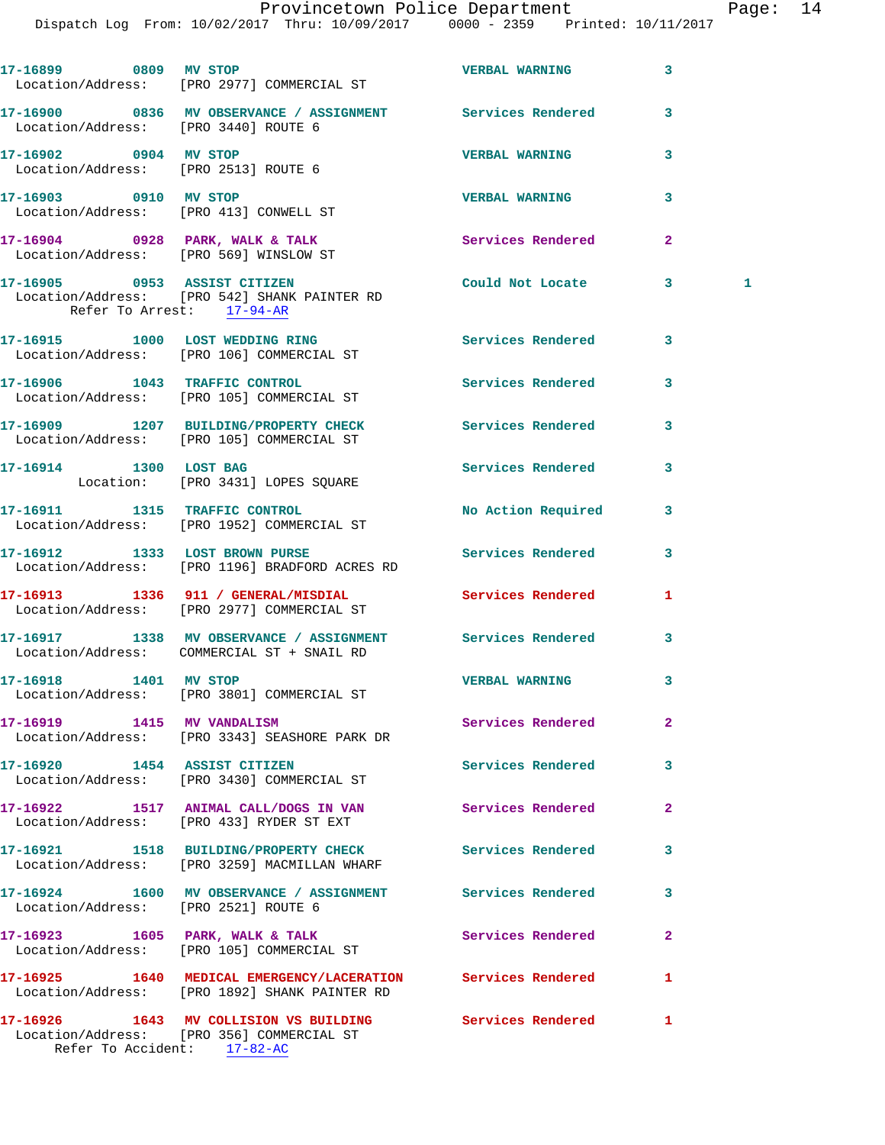Dispatch Log From: 10/02/2017 Thru: 10/09/2017 0000 - 2359 Printed: 10/11/2017

**17-16899 0809 MV STOP VERBAL WARNING 3**  Location/Address: [PRO 2977] COMMERCIAL ST **17-16900 0836 MV OBSERVANCE / ASSIGNMENT Services Rendered 3**  Location/Address: [PRO 3440] ROUTE 6 **17-16902 0904 MV STOP VERBAL WARNING 3**  Location/Address: [PRO 2513] ROUTE 6 **17-16903 0910 MV STOP VERBAL WARNING 3**  Location/Address: [PRO 413] CONWELL ST 17-16904 0928 PARK, WALK & TALK 3 Services Rendered 2 Location/Address: [PRO 569] WINSLOW ST **17-16905 0953 ASSIST CITIZEN Could Not Locate 3 1**  Location/Address: [PRO 542] SHANK PAINTER RD Refer To Arrest: 17-94-AR **17-16915 1000 LOST WEDDING RING Services Rendered 3**  Location/Address: [PRO 106] COMMERCIAL ST **17-16906 1043 TRAFFIC CONTROL Services Rendered 3**  Location/Address: [PRO 105] COMMERCIAL ST **17-16909 1207 BUILDING/PROPERTY CHECK Services Rendered 3**  Location/Address: [PRO 105] COMMERCIAL ST 17-16914 1300 LOST BAG **Services Rendered** 3 Location: [PRO 3431] LOPES SQUARE **17-16911 1315 TRAFFIC CONTROL No Action Required 3**  Location/Address: [PRO 1952] COMMERCIAL ST **17-16912 1333 LOST BROWN PURSE Services Rendered 3**  Location/Address: [PRO 1196] BRADFORD ACRES RD **17-16913 1336 911 / GENERAL/MISDIAL Services Rendered 1**  Location/Address: [PRO 2977] COMMERCIAL ST **17-16917 1338 MV OBSERVANCE / ASSIGNMENT Services Rendered 3**  Location/Address: COMMERCIAL ST + SNAIL RD **17-16918 1401 MV STOP VERBAL WARNING 3**  Location/Address: [PRO 3801] COMMERCIAL ST **17-16919 1415 MV VANDALISM Services Rendered 2**  Location/Address: [PRO 3343] SEASHORE PARK DR **17-16920 1454 ASSIST CITIZEN Services Rendered 3**  Location/Address: [PRO 3430] COMMERCIAL ST **17-16922 1517 ANIMAL CALL/DOGS IN VAN Services Rendered 2**  Location/Address: [PRO 433] RYDER ST EXT **17-16921 1518 BUILDING/PROPERTY CHECK Services Rendered 3**  Location/Address: [PRO 3259] MACMILLAN WHARF **17-16924 1600 MV OBSERVANCE / ASSIGNMENT Services Rendered 3**  Location/Address: [PRO 2521] ROUTE 6 17-16923 1605 PARK, WALK & TALK **Services Rendered** 2 Location/Address: [PRO 105] COMMERCIAL ST **17-16925 1640 MEDICAL EMERGENCY/LACERATION Services Rendered 1**  Location/Address: [PRO 1892] SHANK PAINTER RD **17-16926 1643 MV COLLISION VS BUILDING Services Rendered 1**  Location/Address: [PRO 356] COMMERCIAL ST

Refer To Accident: 17-82-AC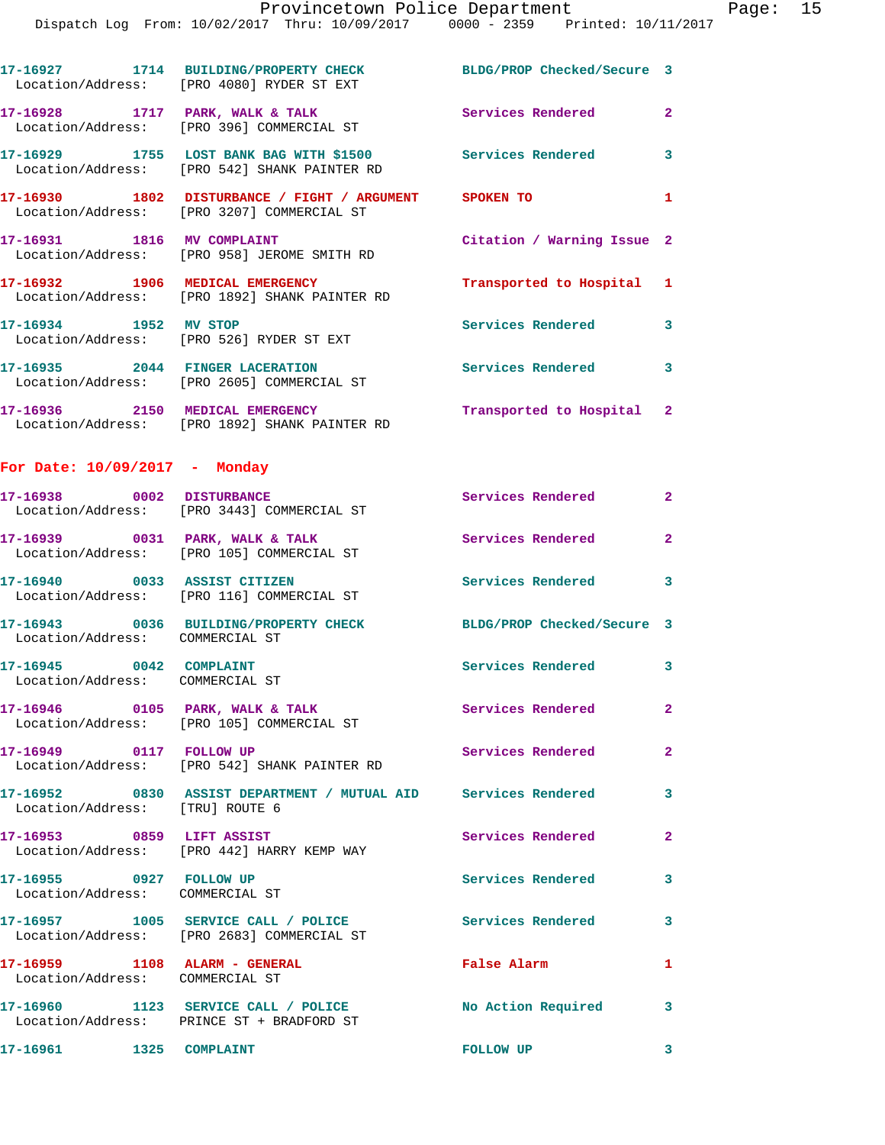|                                                                  | 17-16927 1714 BUILDING/PROPERTY CHECK<br>Location/Address: [PRO 4080] RYDER ST EXT                        | BLDG/PROP Checked/Secure 3 |                            |
|------------------------------------------------------------------|-----------------------------------------------------------------------------------------------------------|----------------------------|----------------------------|
|                                                                  | 17-16928 1717 PARK, WALK & TALK<br>Location/Address: [PRO 396] COMMERCIAL ST                              | Services Rendered          | $\overline{2}$             |
|                                                                  | 17-16929 1755 LOST BANK BAG WITH \$1500 Services Rendered<br>Location/Address: [PRO 542] SHANK PAINTER RD |                            | $\overline{\mathbf{3}}$    |
|                                                                  | 17-16930 1802 DISTURBANCE / FIGHT / ARGUMENT SPOKEN TO<br>Location/Address: [PRO 3207] COMMERCIAL ST      |                            | $\mathbf{1}$               |
|                                                                  | 17-16931 1816 MV COMPLAINT<br>Location/Address: [PRO 958] JEROME SMITH RD                                 | Citation / Warning Issue 2 |                            |
| 17-16932 1906 MEDICAL EMERGENCY                                  | Location/Address: [PRO 1892] SHANK PAINTER RD                                                             | Transported to Hospital 1  |                            |
| 17-16934 1952 MV STOP                                            | Location/Address: [PRO 526] RYDER ST EXT                                                                  | Services Rendered          | $\overline{\mathbf{3}}$    |
|                                                                  | 17-16935 2044 FINGER LACERATION<br>Location/Address: [PRO 2605] COMMERCIAL ST                             | Services Rendered 3        |                            |
|                                                                  | 17-16936 2150 MEDICAL EMERGENCY<br>Location/Address: [PRO 1892] SHANK PAINTER RD                          | Transported to Hospital 2  |                            |
| For Date: $10/09/2017$ - Monday                                  |                                                                                                           |                            |                            |
| 17-16938 0002 DISTURBANCE                                        | Location/Address: [PRO 3443] COMMERCIAL ST                                                                | Services Rendered 2        |                            |
| 17-16939 0031 PARK, WALK & TALK                                  | Location/Address: [PRO 105] COMMERCIAL ST                                                                 | Services Rendered          | $\overline{2}$             |
|                                                                  | 17-16940 0033 ASSIST CITIZEN<br>Location/Address: [PRO 116] COMMERCIAL ST                                 | Services Rendered          | $\overline{\phantom{a}}$ 3 |
| Location/Address: COMMERCIAL ST                                  | 17-16943 0036 BUILDING/PROPERTY CHECK                                                                     | BLDG/PROP Checked/Secure 3 |                            |
| 17-16945 0042 COMPLAINT<br>Location/Address: COMMERCIAL ST       |                                                                                                           | Services Rendered 3        |                            |
|                                                                  | 17-16946 0105 PARK, WALK & TALK<br>Location/Address: [PRO 105] COMMERCIAL ST                              | Services Rendered          | $\mathbf{2}$               |
| 17-16949 0117 FOLLOW UP                                          | Location/Address: [PRO 542] SHANK PAINTER RD                                                              | Services Rendered          | $\overline{2}$             |
| Location/Address: [TRU] ROUTE 6                                  | 17-16952 0830 ASSIST DEPARTMENT / MUTUAL AID Services Rendered 3                                          |                            |                            |
| $17-16953$ 0859 LIFT ASSIST                                      | Location/Address: [PRO 442] HARRY KEMP WAY                                                                | Services Rendered          | $\mathbf{2}$               |
| 17-16955 0927 FOLLOW UP<br>Location/Address: COMMERCIAL ST       |                                                                                                           | Services Rendered          | $\overline{\mathbf{3}}$    |
|                                                                  | 17-16957 1005 SERVICE CALL / POLICE<br>Location/Address: [PRO 2683] COMMERCIAL ST                         | Services Rendered          | 3                          |
| 17-16959 1108 ALARM - GENERAL<br>Location/Address: COMMERCIAL ST |                                                                                                           | False Alarm                | $\mathbf{1}$               |
|                                                                  | 17-16960 1123 SERVICE CALL / POLICE<br>Location/Address: PRINCE ST + BRADFORD ST                          | No Action Required         | 3                          |
| 17-16961 1325 COMPLAINT                                          |                                                                                                           | <b>FOLLOW UP</b>           | 3                          |